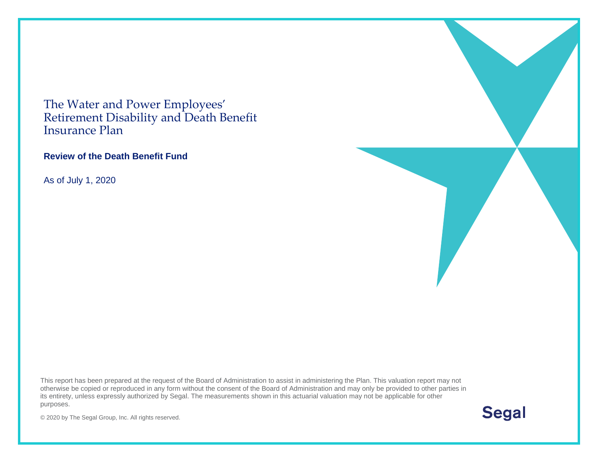The Water and Power Employees' Retirement Disability and Death Benefit Insurance Plan

#### **Review of the Death Benefit Fund**

As of July 1, 2020

This report has been prepared at the request of the Board of Administration to assist in administering the Plan. This valuation report may not otherwise be copied or reproduced in any form without the consent of the Board of Administration and may only be provided to other parties in its entirety, unless expressly authorized by Segal. The measurements shown in this actuarial valuation may not be applicable for other purposes.

**Segal** 

© 2020 by The Segal Group, Inc. All rights reserved.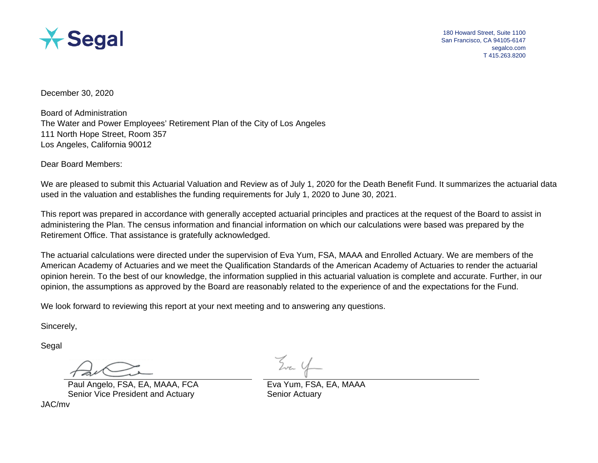

180 Howard Street, Suite 1100 San Francisco, CA 94105-6147 segalco.com T 415.263.8200

December 30, 2020

Board of Administration The Water and Power Employees' Retirement Plan of the City of Los Angeles 111 North Hope Street, Room 357 Los Angeles, California 90012

Dear Board Members:

We are pleased to submit this Actuarial Valuation and Review as of July 1, 2020 for the Death Benefit Fund. It summarizes the actuarial data used in the valuation and establishes the funding requirements for July 1, 2020 to June 30, 2021.

This report was prepared in accordance with generally accepted actuarial principles and practices at the request of the Board to assist in administering the Plan. The census information and financial information on which our calculations were based was prepared by the Retirement Office. That assistance is gratefully acknowledged.

The actuarial calculations were directed under the supervision of Eva Yum, FSA, MAAA and Enrolled Actuary. We are members of the American Academy of Actuaries and we meet the Qualification Standards of the American Academy of Actuaries to render the actuarial opinion herein. To the best of our knowledge, the information supplied in this actuarial valuation is complete and accurate. Further, in our opinion, the assumptions as approved by the Board are reasonably related to the experience of and the expectations for the Fund.

We look forward to reviewing this report at your next meeting and to answering any questions.

Sincerely,

Segal

Paul Angelo, FSA, EA, MAAA, FCA Eva Yum, FSA, EA, MAAA Senior Vice President and Actuary Senior Actuary

JAC/mv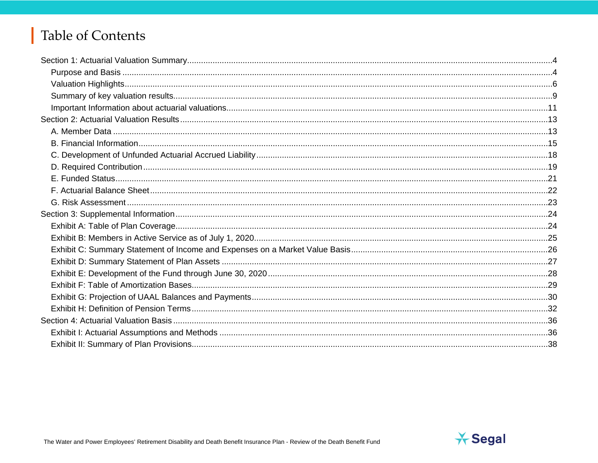# Table of Contents

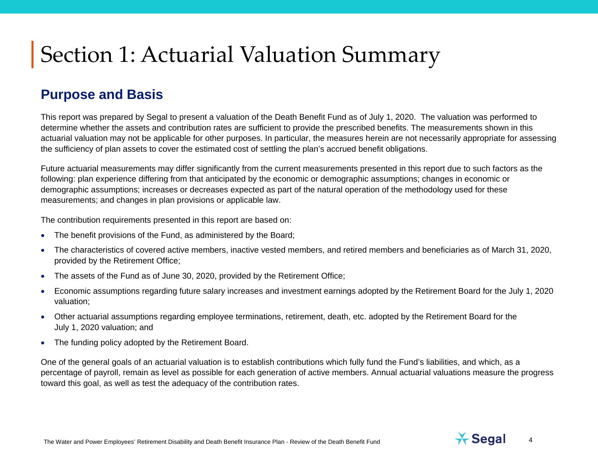#### **Purpose and Basis**

This report was prepared by Segal to present a valuation of the Death Benefit Fund as of July 1, 2020. The valuation was performed to determine whether the assets and contribution rates are sufficient to provide the prescribed benefits. The measurements shown in this actuarial valuation may not be applicable for other purposes. In particular, the measures herein are not necessarily appropriate for assessing the sufficiency of plan assets to cover the estimated cost of settling the plan's accrued benefit obligations.

Future actuarial measurements may differ significantly from the current measurements presented in this report due to such factors as the following: plan experience differing from that anticipated by the economic or demographic assumptions; changes in economic or demographic assumptions; increases or decreases expected as part of the natural operation of the methodology used for these measurements; and changes in plan provisions or applicable law.

The contribution requirements presented in this report are based on:

- The benefit provisions of the Fund, as administered by the Board;
- The characteristics of covered active members, inactive vested members, and retired members and beneficiaries as of March 31, 2020, provided by the Retirement Office;
- The assets of the Fund as of June 30, 2020, provided by the Retirement Office;
- Economic assumptions regarding future salary increases and investment earnings adopted by the Retirement Board for the July 1, 2020 valuation;
- Other actuarial assumptions regarding employee terminations, retirement, death, etc. adopted by the Retirement Board for the July 1, 2020 valuation; and
- The funding policy adopted by the Retirement Board.

One of the general goals of an actuarial valuation is to establish contributions which fully fund the Fund's liabilities, and which, as a percentage of payroll, remain as level as possible for each generation of active members. Annual actuarial valuations measure the progress toward this goal, as well as test the adequacy of the contribution rates.

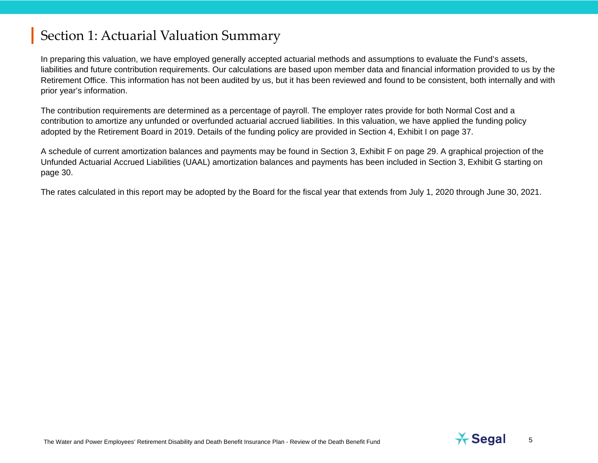In preparing this valuation, we have employed generally accepted actuarial methods and assumptions to evaluate the Fund's assets, liabilities and future contribution requirements. Our calculations are based upon member data and financial information provided to us by the Retirement Office. This information has not been audited by us, but it has been reviewed and found to be consistent, both internally and with prior year's information.

The contribution requirements are determined as a percentage of payroll. The employer rates provide for both Normal Cost and a contribution to amortize any unfunded or overfunded actuarial accrued liabilities. In this valuation, we have applied the funding policy adopted by the Retirement Board in 2019. Details of the funding policy are provided in Section 4, Exhibit I on page 37.

A schedule of current amortization balances and payments may be found in Section 3, Exhibit F on page [29.](#page-28-0) A graphical projection of the Unfunded Actuarial Accrued Liabilities (UAAL) amortization balances and payments has been included in Section 3, Exhibit G starting on page 30.

The rates calculated in this report may be adopted by the Board for the fiscal year that extends from July 1, 2020 through June 30, 2021.

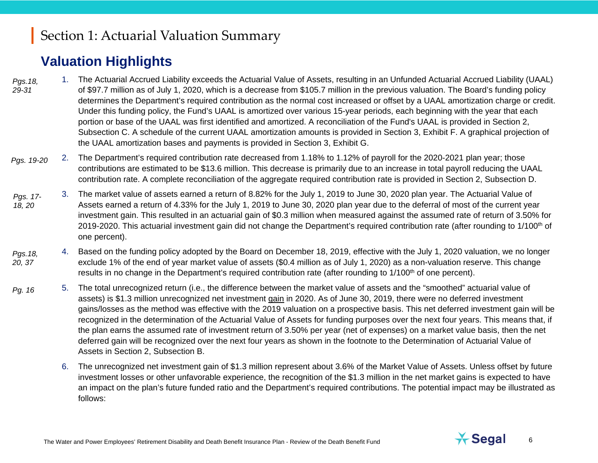### **Valuation Highlights**

- 1. The Actuarial Accrued Liability exceeds the Actuarial Value of Assets, resulting in an Unfunded Actuarial Accrued Liability (UAAL) of \$97.7 million as of July 1, 2020, which is a decrease from \$105.7 million in the previous valuation. The Board's funding policy determines the Department's required contribution as the normal cost increased or offset by a UAAL amortization charge or credit. Under this funding policy, the Fund's UAAL is amortized over various 15-year periods, each beginning with the year that each portion or base of the UAAL was first identified and amortized. A reconciliation of the Fund's UAAL is provided in Section 2, Subsection C. A schedule of the current UAAL amortization amounts is provided in Section 3, Exhibit F. A graphical projection of the UAAL amortization bases and payments is provided in Section 3, Exhibit G. *Pgs.18, 29-31*
- 2. The Department's required contribution rate decreased from 1.18% to 1.12% of payroll for the 2020-2021 plan year; those contributions are estimated to be \$13.6 million. This decrease is primarily due to an increase in total payroll reducing the UAAL contribution rate. A complete reconciliation of the aggregate required contribution rate is provided in Section 2, Subsection D. *Pgs. 19-20*
- 3. The market value of assets earned a return of 8.82% for the July 1, 2019 to June 30, 2020 plan year. The Actuarial Value of Assets earned a return of 4.33% for the July 1, 2019 to June 30, 2020 plan year due to the deferral of most of the current year investment gain. This resulted in an actuarial gain of \$0.3 million when measured against the assumed rate of return of 3.50% for 2019-2020. This actuarial investment gain did not change the Department's required contribution rate (after rounding to 1/100<sup>th</sup> of one percent). *Pgs. 17- 18, 20*
- 4. Based on the funding policy adopted by the Board on December 18, 2019, effective with the July 1, 2020 valuation, we no longer exclude 1% of the end of year market value of assets (\$0.4 million as of July 1, 2020) as a non-valuation reserve. This change results in no change in the Department's required contribution rate (after rounding to 1/100<sup>th</sup> of one percent). *Pgs.18, 20, 37*
- 5. The total unrecognized return (i.e., the difference between the market value of assets and the "smoothed" actuarial value of assets) is \$1.3 million unrecognized net investment gain in 2020. As of June 30, 2019, there were no deferred investment gains/losses as the method was effective with the 2019 valuation on a prospective basis. This net deferred investment gain will be recognized in the determination of the Actuarial Value of Assets for funding purposes over the next four years. This means that, if the plan earns the assumed rate of investment return of 3.50% per year (net of expenses) on a market value basis, then the net deferred gain will be recognized over the next four years as shown in the footnote to the Determination of Actuarial Value of Assets in Section 2, Subsection B. *Pg. 16*
	- 6. The unrecognized net investment gain of \$1.3 million represent about 3.6% of the Market Value of Assets. Unless offset by future investment losses or other unfavorable experience, the recognition of the \$1.3 million in the net market gains is expected to have an impact on the plan's future funded ratio and the Department's required contributions. The potential impact may be illustrated as follows:

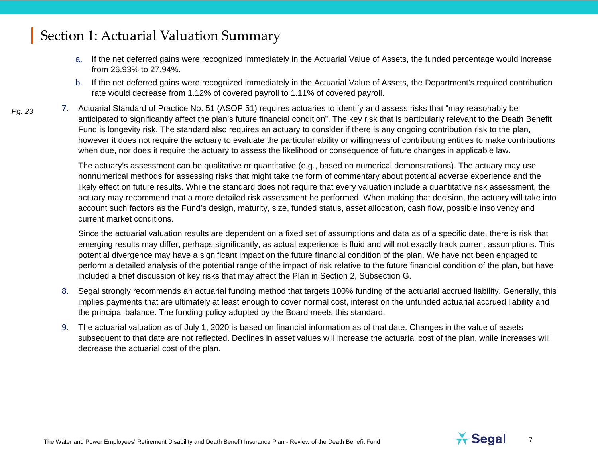- a. If the net deferred gains were recognized immediately in the Actuarial Value of Assets, the funded percentage would increase from 26.93% to 27.94%.
- b. If the net deferred gains were recognized immediately in the Actuarial Value of Assets, the Department's required contribution rate would decrease from 1.12% of covered payroll to 1.11% of covered payroll.
- 7. Actuarial Standard of Practice No. 51 (ASOP 51) requires actuaries to identify and assess risks that "may reasonably be anticipated to significantly affect the plan's future financial condition". The key risk that is particularly relevant to the Death Benefit Fund is longevity risk. The standard also requires an actuary to consider if there is any ongoing contribution risk to the plan, however it does not require the actuary to evaluate the particular ability or willingness of contributing entities to make contributions when due, nor does it require the actuary to assess the likelihood or consequence of future changes in applicable law. *Pg. 23*

The actuary's assessment can be qualitative or quantitative (e.g., based on numerical demonstrations). The actuary may use nonnumerical methods for assessing risks that might take the form of commentary about potential adverse experience and the likely effect on future results. While the standard does not require that every valuation include a quantitative risk assessment, the actuary may recommend that a more detailed risk assessment be performed. When making that decision, the actuary will take into account such factors as the Fund's design, maturity, size, funded status, asset allocation, cash flow, possible insolvency and current market conditions.

Since the actuarial valuation results are dependent on a fixed set of assumptions and data as of a specific date, there is risk that emerging results may differ, perhaps significantly, as actual experience is fluid and will not exactly track current assumptions. This potential divergence may have a significant impact on the future financial condition of the plan. We have not been engaged to perform a detailed analysis of the potential range of the impact of risk relative to the future financial condition of the plan, but have included a brief discussion of key risks that may affect the Plan in Section 2, Subsection G.

- 8. Segal strongly recommends an actuarial funding method that targets 100% funding of the actuarial accrued liability. Generally, this implies payments that are ultimately at least enough to cover normal cost, interest on the unfunded actuarial accrued liability and the principal balance. The funding policy adopted by the Board meets this standard.
- 9. The actuarial valuation as of July 1, 2020 is based on financial information as of that date. Changes in the value of assets subsequent to that date are not reflected. Declines in asset values will increase the actuarial cost of the plan, while increases will decrease the actuarial cost of the plan.



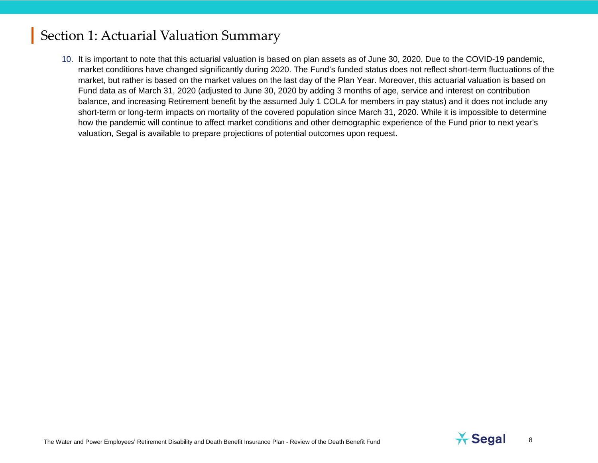10. It is important to note that this actuarial valuation is based on plan assets as of June 30, 2020. Due to the COVID-19 pandemic, market conditions have changed significantly during 2020. The Fund's funded status does not reflect short-term fluctuations of the market, but rather is based on the market values on the last day of the Plan Year. Moreover, this actuarial valuation is based on Fund data as of March 31, 2020 (adjusted to June 30, 2020 by adding 3 months of age, service and interest on contribution balance, and increasing Retirement benefit by the assumed July 1 COLA for members in pay status) and it does not include any short-term or long-term impacts on mortality of the covered population since March 31, 2020. While it is impossible to determine how the pandemic will continue to affect market conditions and other demographic experience of the Fund prior to next year's valuation, Segal is available to prepare projections of potential outcomes upon request.

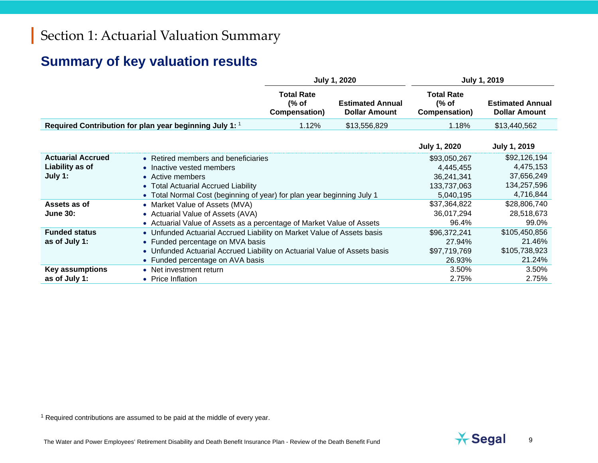## <span id="page-8-0"></span>**Summary of key valuation results**

|                                                        |                                                                                                                                                                                                                             | <b>July 1, 2020</b>                         |                                                 | <b>July 1, 2019</b>                                                 |                                                                     |  |
|--------------------------------------------------------|-----------------------------------------------------------------------------------------------------------------------------------------------------------------------------------------------------------------------------|---------------------------------------------|-------------------------------------------------|---------------------------------------------------------------------|---------------------------------------------------------------------|--|
|                                                        |                                                                                                                                                                                                                             | <b>Total Rate</b><br>(% of<br>Compensation) | <b>Estimated Annual</b><br><b>Dollar Amount</b> | <b>Total Rate</b><br>(% of<br>Compensation)                         | <b>Estimated Annual</b><br><b>Dollar Amount</b>                     |  |
|                                                        | Required Contribution for plan year beginning July 1: 1                                                                                                                                                                     | 1.12%                                       | \$13,556,829                                    | 1.18%                                                               | \$13,440,562                                                        |  |
|                                                        |                                                                                                                                                                                                                             |                                             |                                                 | <b>July 1, 2020</b>                                                 | <b>July 1, 2019</b>                                                 |  |
| <b>Actuarial Accrued</b><br>Liability as of<br>July 1: | • Retired members and beneficiaries<br>• Inactive vested members<br>• Active members<br>• Total Actuarial Accrued Liability<br>• Total Normal Cost (beginning of year) for plan year beginning July 1                       |                                             |                                                 | \$93,050,267<br>4,445,455<br>36,241,341<br>133,737,063<br>5,040,195 | \$92,126,194<br>4,475,153<br>37,656,249<br>134,257,596<br>4,716,844 |  |
| Assets as of<br><b>June 30:</b>                        | • Market Value of Assets (MVA)<br>• Actuarial Value of Assets (AVA)<br>• Actuarial Value of Assets as a percentage of Market Value of Assets                                                                                |                                             |                                                 | \$37,364,822<br>36,017,294<br>96.4%                                 | \$28,806,740<br>28,518,673<br>99.0%                                 |  |
| <b>Funded status</b><br>as of July 1:                  | • Unfunded Actuarial Accrued Liability on Market Value of Assets basis<br>• Funded percentage on MVA basis<br>• Unfunded Actuarial Accrued Liability on Actuarial Value of Assets basis<br>• Funded percentage on AVA basis |                                             |                                                 | \$96,372,241<br>27.94%<br>\$97,719,769<br>26.93%                    | \$105,450,856<br>21.46%<br>\$105,738,923<br>21.24%                  |  |
| <b>Key assumptions</b><br>as of July 1:                | • Net investment return<br>• Price Inflation                                                                                                                                                                                |                                             |                                                 | 3.50%<br>2.75%                                                      | 3.50%<br>2.75%                                                      |  |

 $1$  Required contributions are assumed to be paid at the middle of every year.

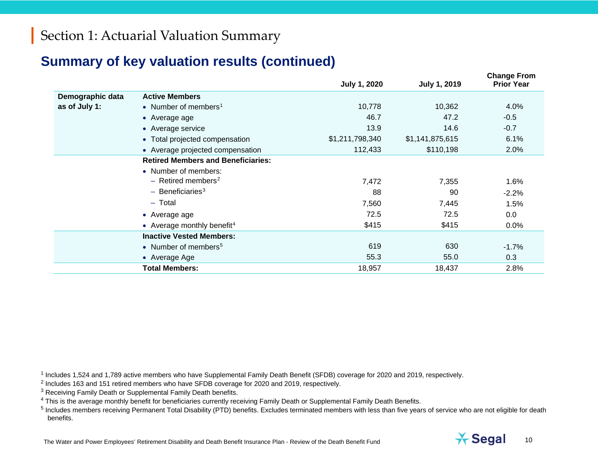#### **Summary of key valuation results (continued)**

<span id="page-9-4"></span><span id="page-9-3"></span><span id="page-9-2"></span><span id="page-9-1"></span><span id="page-9-0"></span>

|                  |                                           | <b>July 1, 2020</b> | <b>July 1, 2019</b> | <b>Change From</b><br><b>Prior Year</b> |
|------------------|-------------------------------------------|---------------------|---------------------|-----------------------------------------|
| Demographic data | <b>Active Members</b>                     |                     |                     |                                         |
| as of July 1:    | • Number of members <sup>1</sup>          | 10,778              | 10,362              | 4.0%                                    |
|                  | • Average age                             | 46.7                | 47.2                | $-0.5$                                  |
|                  | • Average service                         | 13.9                | 14.6                | $-0.7$                                  |
|                  | • Total projected compensation            | \$1,211,798,340     | \$1,141,875,615     | 6.1%                                    |
|                  | • Average projected compensation          | 112,433             | \$110,198           | 2.0%                                    |
|                  | <b>Retired Members and Beneficiaries:</b> |                     |                     |                                         |
|                  | • Number of members:                      |                     |                     |                                         |
|                  | $-$ Retired members <sup>2</sup>          | 7,472               | 7,355               | 1.6%                                    |
|                  | $-$ Beneficiaries <sup>3</sup>            | 88                  | 90                  | $-2.2%$                                 |
|                  | $-$ Total                                 | 7,560               | 7,445               | 1.5%                                    |
|                  | • Average age                             | 72.5                | 72.5                | 0.0                                     |
|                  | • Average monthly benefit <sup>4</sup>    | \$415               | \$415               | 0.0%                                    |
|                  | <b>Inactive Vested Members:</b>           |                     |                     |                                         |
|                  | • Number of members <sup>5</sup>          | 619                 | 630                 | $-1.7%$                                 |
|                  | • Average Age                             | 55.3                | 55.0                | 0.3                                     |
|                  | <b>Total Members:</b>                     | 18,957              | 18,437              | 2.8%                                    |

<sup>1</sup> Includes 1,524 and 1,789 active members who have Supplemental Family Death Benefit (SFDB) coverage for 2020 and 2019, respectively.

- <sup>2</sup> Includes 163 and 151 retired members who have SFDB coverage for 2020 and 2019, respectively.
- <sup>3</sup> Receiving Family Death or Supplemental Family Death benefits.
- <sup>4</sup> This is the average monthly benefit for beneficiaries currently receiving Family Death or Supplemental Family Death Benefits.



<sup>&</sup>lt;sup>5</sup> Includes members receiving Permanent Total Disability (PTD) benefits. Excludes terminated members with less than five years of service who are not eligible for death benefits.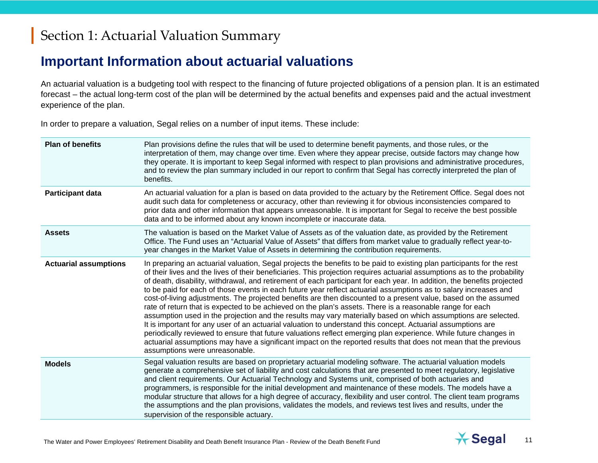#### **Important Information about actuarial valuations**

An actuarial valuation is a budgeting tool with respect to the financing of future projected obligations of a pension plan. It is an estimated forecast – the actual long-term cost of the plan will be determined by the actual benefits and expenses paid and the actual investment experience of the plan.

In order to prepare a valuation, Segal relies on a number of input items. These include:

| <b>Plan of benefits</b>      | Plan provisions define the rules that will be used to determine benefit payments, and those rules, or the<br>interpretation of them, may change over time. Even where they appear precise, outside factors may change how<br>they operate. It is important to keep Segal informed with respect to plan provisions and administrative procedures,<br>and to review the plan summary included in our report to confirm that Segal has correctly interpreted the plan of<br>benefits.                                                                                                                                                                                                                                                                                                                                                                                                                                                                                                                                                                                                                                                                                                                                                             |
|------------------------------|------------------------------------------------------------------------------------------------------------------------------------------------------------------------------------------------------------------------------------------------------------------------------------------------------------------------------------------------------------------------------------------------------------------------------------------------------------------------------------------------------------------------------------------------------------------------------------------------------------------------------------------------------------------------------------------------------------------------------------------------------------------------------------------------------------------------------------------------------------------------------------------------------------------------------------------------------------------------------------------------------------------------------------------------------------------------------------------------------------------------------------------------------------------------------------------------------------------------------------------------|
| Participant data             | An actuarial valuation for a plan is based on data provided to the actuary by the Retirement Office. Segal does not<br>audit such data for completeness or accuracy, other than reviewing it for obvious inconsistencies compared to<br>prior data and other information that appears unreasonable. It is important for Segal to receive the best possible<br>data and to be informed about any known incomplete or inaccurate data.                                                                                                                                                                                                                                                                                                                                                                                                                                                                                                                                                                                                                                                                                                                                                                                                           |
| <b>Assets</b>                | The valuation is based on the Market Value of Assets as of the valuation date, as provided by the Retirement<br>Office. The Fund uses an "Actuarial Value of Assets" that differs from market value to gradually reflect year-to-<br>year changes in the Market Value of Assets in determining the contribution requirements.                                                                                                                                                                                                                                                                                                                                                                                                                                                                                                                                                                                                                                                                                                                                                                                                                                                                                                                  |
| <b>Actuarial assumptions</b> | In preparing an actuarial valuation, Segal projects the benefits to be paid to existing plan participants for the rest<br>of their lives and the lives of their beneficiaries. This projection requires actuarial assumptions as to the probability<br>of death, disability, withdrawal, and retirement of each participant for each year. In addition, the benefits projected<br>to be paid for each of those events in each future year reflect actuarial assumptions as to salary increases and<br>cost-of-living adjustments. The projected benefits are then discounted to a present value, based on the assumed<br>rate of return that is expected to be achieved on the plan's assets. There is a reasonable range for each<br>assumption used in the projection and the results may vary materially based on which assumptions are selected.<br>It is important for any user of an actuarial valuation to understand this concept. Actuarial assumptions are<br>periodically reviewed to ensure that future valuations reflect emerging plan experience. While future changes in<br>actuarial assumptions may have a significant impact on the reported results that does not mean that the previous<br>assumptions were unreasonable. |
| <b>Models</b>                | Segal valuation results are based on proprietary actuarial modeling software. The actuarial valuation models<br>generate a comprehensive set of liability and cost calculations that are presented to meet regulatory, legislative<br>and client requirements. Our Actuarial Technology and Systems unit, comprised of both actuaries and<br>programmers, is responsible for the initial development and maintenance of these models. The models have a<br>modular structure that allows for a high degree of accuracy, flexibility and user control. The client team programs<br>the assumptions and the plan provisions, validates the models, and reviews test lives and results, under the<br>supervision of the responsible actuary.                                                                                                                                                                                                                                                                                                                                                                                                                                                                                                      |

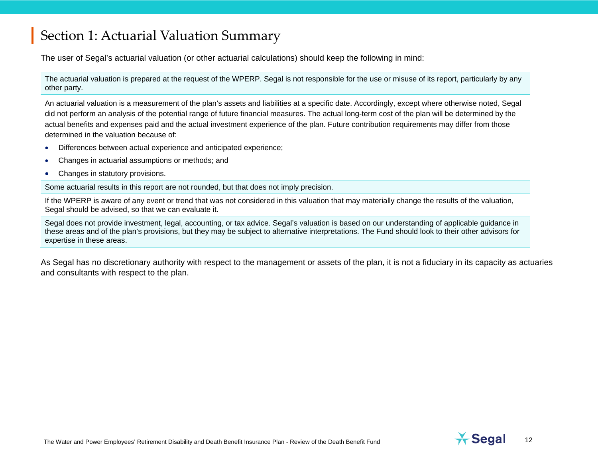The user of Segal's actuarial valuation (or other actuarial calculations) should keep the following in mind:

The actuarial valuation is prepared at the request of the WPERP. Segal is not responsible for the use or misuse of its report, particularly by any other party.

An actuarial valuation is a measurement of the plan's assets and liabilities at a specific date. Accordingly, except where otherwise noted, Segal did not perform an analysis of the potential range of future financial measures. The actual long-term cost of the plan will be determined by the actual benefits and expenses paid and the actual investment experience of the plan. Future contribution requirements may differ from those determined in the valuation because of:

- Differences between actual experience and anticipated experience;
- Changes in actuarial assumptions or methods; and
- Changes in statutory provisions.

Some actuarial results in this report are not rounded, but that does not imply precision.

If the WPERP is aware of any event or trend that was not considered in this valuation that may materially change the results of the valuation, Segal should be advised, so that we can evaluate it.

Segal does not provide investment, legal, accounting, or tax advice. Segal's valuation is based on our understanding of applicable guidance in these areas and of the plan's provisions, but they may be subject to alternative interpretations. The Fund should look to their other advisors for expertise in these areas.

As Segal has no discretionary authority with respect to the management or assets of the plan, it is not a fiduciary in its capacity as actuaries and consultants with respect to the plan.

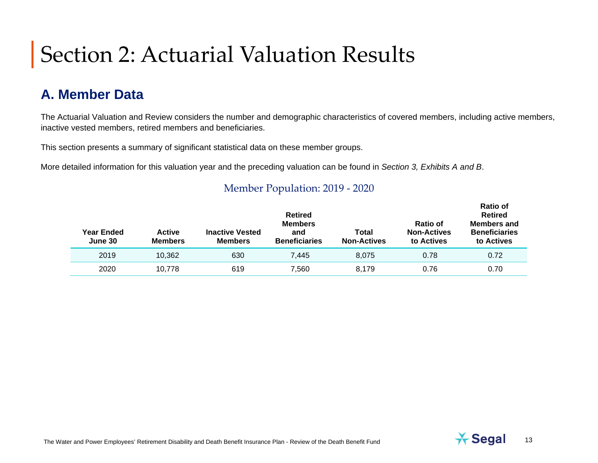### **A. Member Data**

The Actuarial Valuation and Review considers the number and demographic characteristics of covered members, including active members, inactive vested members, retired members and beneficiaries.

This section presents a summary of significant statistical data on these member groups.

More detailed information for this valuation year and the preceding valuation can be found in *Section 3, Exhibits A and B*.

| Year Ended<br>June 30 | <b>Active</b><br><b>Members</b> | <b>Inactive Vested</b><br><b>Members</b> | <b>Retired</b><br><b>Members</b><br>and<br><b>Beneficiaries</b> | Total<br><b>Non-Actives</b> | Ratio of<br><b>Non-Actives</b><br>to Actives | ו שטואו<br><b>Retired</b><br><b>Members and</b><br><b>Beneficiaries</b><br>to Actives |  |
|-----------------------|---------------------------------|------------------------------------------|-----------------------------------------------------------------|-----------------------------|----------------------------------------------|---------------------------------------------------------------------------------------|--|
| 2019                  | 10.362                          | 630                                      | 7.445                                                           | 8.075                       | 0.78                                         | 0.72                                                                                  |  |
| 2020                  | 10.778                          | 619                                      | 7,560                                                           | 8.179                       | 0.76                                         | 0.70                                                                                  |  |
|                       |                                 |                                          |                                                                 |                             |                                              |                                                                                       |  |

#### Member Population: 2019 - 2020

**Ratio of**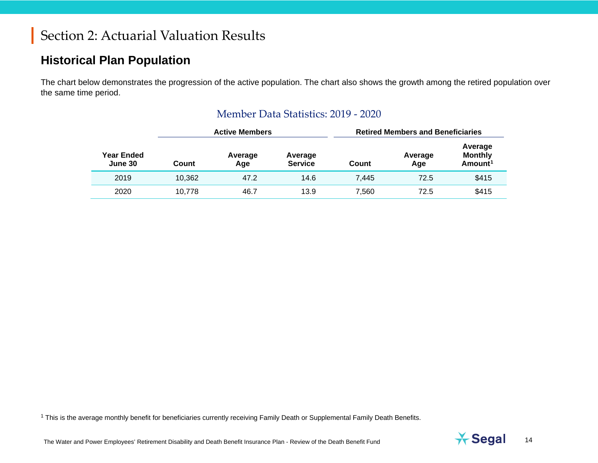#### **Historical Plan Population**

The chart below demonstrates the progression of the active population. The chart also shows the growth among the retired population over the same time period.

|                       |        | <b>Active Members</b> |                           | <b>Retired Members and Beneficiaries</b> |                |                                                     |  |
|-----------------------|--------|-----------------------|---------------------------|------------------------------------------|----------------|-----------------------------------------------------|--|
| Year Ended<br>June 30 | Count  | Average<br>Age        | Average<br><b>Service</b> | Count                                    | Average<br>Age | Average<br><b>Monthly</b><br>$A$ mount <sup>1</sup> |  |
| 2019                  | 10,362 | 47.2                  | 14.6                      | 7.445                                    | 72.5           | \$415                                               |  |
| 2020                  | 10,778 | 46.7                  | 13.9                      | 7.560                                    | 72.5           | \$415                                               |  |

#### <span id="page-13-0"></span>Member Data Statistics: 2019 - 2020

<sup>1</sup> This is the average monthly benefit for beneficiaries currently receiving Family Death or Supplemental Family Death Benefits.

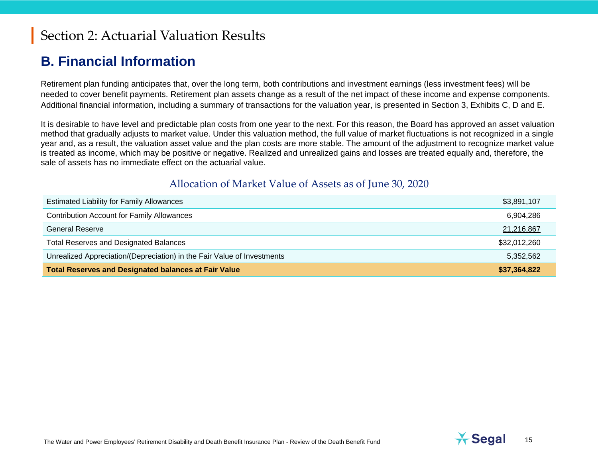#### **B. Financial Information**

Retirement plan funding anticipates that, over the long term, both contributions and investment earnings (less investment fees) will be needed to cover benefit payments. Retirement plan assets change as a result of the net impact of these income and expense components. Additional financial information, including a summary of transactions for the valuation year, is presented in Section 3, Exhibits C, D and E.

It is desirable to have level and predictable plan costs from one year to the next. For this reason, the Board has approved an asset valuation method that gradually adjusts to market value. Under this valuation method, the full value of market fluctuations is not recognized in a single year and, as a result, the valuation asset value and the plan costs are more stable. The amount of the adjustment to recognize market value is treated as income, which may be positive or negative. Realized and unrealized gains and losses are treated equally and, therefore, the sale of assets has no immediate effect on the actuarial value.

#### Allocation of Market Value of Assets as of June 30, 2020

| <b>Estimated Liability for Family Allowances</b>                        | \$3,891,107  |
|-------------------------------------------------------------------------|--------------|
| <b>Contribution Account for Family Allowances</b>                       | 6,904,286    |
| General Reserve                                                         | 21,216,867   |
| <b>Total Reserves and Designated Balances</b>                           | \$32,012,260 |
| Unrealized Appreciation/(Depreciation) in the Fair Value of Investments | 5,352,562    |
| <b>Total Reserves and Designated balances at Fair Value</b>             | \$37,364,822 |

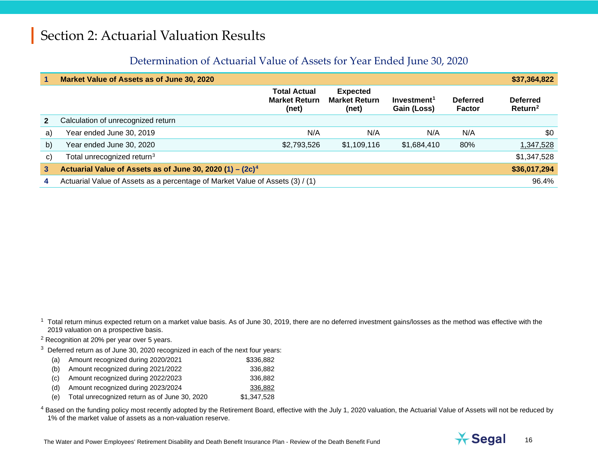#### <span id="page-15-3"></span><span id="page-15-2"></span><span id="page-15-1"></span><span id="page-15-0"></span>Determination of Actuarial Value of Assets for Year Ended June 30, 2020

|              | Market Value of Assets as of June 30, 2020                                    |                                                      |                                                  |                                        |                           | \$37,364,822                           |
|--------------|-------------------------------------------------------------------------------|------------------------------------------------------|--------------------------------------------------|----------------------------------------|---------------------------|----------------------------------------|
|              |                                                                               | <b>Total Actual</b><br><b>Market Return</b><br>(net) | <b>Expected</b><br><b>Market Return</b><br>(net) | Investment <sup>1</sup><br>Gain (Loss) | <b>Deferred</b><br>Factor | <b>Deferred</b><br>Return <sup>2</sup> |
| $\mathbf{2}$ | Calculation of unrecognized return                                            |                                                      |                                                  |                                        |                           |                                        |
| a)           | Year ended June 30, 2019                                                      | N/A                                                  | N/A                                              | N/A                                    | N/A                       | \$0                                    |
| b)           | Year ended June 30, 2020                                                      | \$2,793,526                                          | \$1,109,116                                      | \$1,684,410                            | 80%                       | <u>1,347,528</u>                       |
| $\mathbf{C}$ | Total unrecognized return <sup>3</sup>                                        |                                                      |                                                  |                                        |                           | \$1,347,528                            |
| $\mathbf{3}$ | Actuarial Value of Assets as of June 30, 2020 $(1) - (2c)^4$                  |                                                      |                                                  |                                        |                           | \$36,017,294                           |
| 4            | Actuarial Value of Assets as a percentage of Market Value of Assets (3) / (1) |                                                      |                                                  |                                        |                           | 96.4%                                  |

 $1$  Total return minus expected return on a market value basis. As of June 30, 2019, there are no deferred investment gains/losses as the method was effective with the 2019 valuation on a prospective basis.

<sup>2</sup> Recognition at 20% per year over 5 years.

 $3$  Deferred return as of June 30, 2020 recognized in each of the next four years:

| (a) | Amount recognized during 2020/2021 | \$336,882 |
|-----|------------------------------------|-----------|
|-----|------------------------------------|-----------|

- (b) Amount recognized during 2021/2022 336,882
- (c) Amount recognized during 2022/2023 336,882
- (d) Amount recognized during 2023/2024 336,882
- (e) Total unrecognized return as of June 30, 2020 \$1,347,528

<sup>4</sup> Based on the funding policy most recently adopted by the Retirement Board, effective with the July 1, 2020 valuation, the Actuarial Value of Assets will not be reduced by 1% of the market value of assets as a non-valuation reserve.

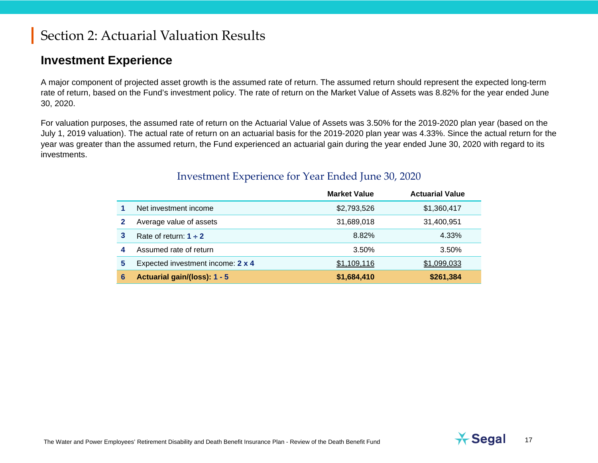#### **Investment Experience**

A major component of projected asset growth is the assumed rate of return. The assumed return should represent the expected long-term rate of return, based on the Fund's investment policy. The rate of return on the Market Value of Assets was 8.82% for the year ended June 30, 2020.

For valuation purposes, the assumed rate of return on the Actuarial Value of Assets was 3.50% for the 2019-2020 plan year (based on the July 1, 2019 valuation). The actual rate of return on an actuarial basis for the 2019-2020 plan year was 4.33%. Since the actual return for the year was greater than the assumed return, the Fund experienced an actuarial gain during the year ended June 30, 2020 with regard to its investments.

|   |                                   | <b>Market Value</b> | <b>Actuarial Value</b> |
|---|-----------------------------------|---------------------|------------------------|
|   | Net investment income             | \$2,793,526         | \$1,360,417            |
|   | Average value of assets           | 31,689,018          | 31,400,951             |
| 3 | Rate of return: $1 \div 2$        | 8.82%               | 4.33%                  |
| 4 | Assumed rate of return            | 3.50%               | 3.50%                  |
| 5 | Expected investment income: 2 x 4 | \$1,109,116         | \$1,099,033            |
| 6 | Actuarial gain/(loss): 1 - 5      | \$1,684,410         | \$261,384              |

#### Investment Experience for Year Ended June 30, 2020

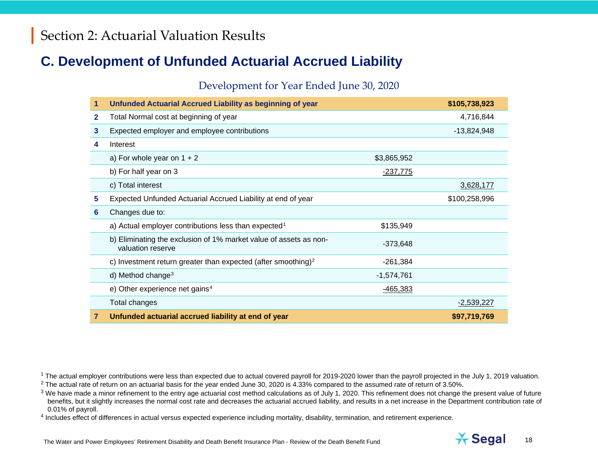#### **C. Development of Unfunded Actuarial Accrued Liability**

#### <span id="page-17-3"></span><span id="page-17-2"></span><span id="page-17-1"></span><span id="page-17-0"></span>Development for Year Ended June 30, 2020

| 1 | Unfunded Actuarial Accrued Liability as beginning of year                              |                 | \$105,738,923 |
|---|----------------------------------------------------------------------------------------|-----------------|---------------|
| 2 | Total Normal cost at beginning of year                                                 |                 | 4,716,844     |
| 3 | Expected employer and employee contributions                                           |                 | $-13,824,948$ |
| 4 | Interest                                                                               |                 |               |
|   | a) For whole year on $1 + 2$                                                           | \$3,865,952     |               |
|   | b) For half year on 3                                                                  | <u>-237,775</u> |               |
|   | c) Total interest                                                                      |                 | 3,628,177     |
| 5 | Expected Unfunded Actuarial Accrued Liability at end of year                           |                 | \$100,258,996 |
| 6 | Changes due to:                                                                        |                 |               |
|   | a) Actual employer contributions less than expected <sup>1</sup>                       | \$135,949       |               |
|   | b) Eliminating the exclusion of 1% market value of assets as non-<br>valuation reserve | $-373,648$      |               |
|   | c) Investment return greater than expected (after smoothing) <sup>2</sup>              | $-261,384$      |               |
|   | d) Method change <sup>3</sup>                                                          | $-1,574,761$    |               |
|   | e) Other experience net gains <sup>4</sup>                                             | $-465,383$      |               |
|   | Total changes                                                                          |                 | $-2,539,227$  |
| 7 | Unfunded actuarial accrued liability at end of year                                    |                 | \$97,719,769  |

<sup>1</sup> The actual employer contributions were less than expected due to actual covered payroll for 2019-2020 lower than the payroll projected in the July 1, 2019 valuation.

 $2$  The actual rate of return on an actuarial basis for the year ended June 30, 2020 is 4.33% compared to the assumed rate of return of 3.50%.

 $3$  We have made a minor refinement to the entry age actuarial cost method calculations as of July 1, 2020. This refinement does not change the present value of future benefits, but it slightly increases the normal cost rate and decreases the actuarial accrued liability, and results in a net increase in the Department contribution rate of 0.01% of payroll.

<sup>4</sup> Includes effect of differences in actual versus expected experience including mortality, disability, termination, and retirement experience.

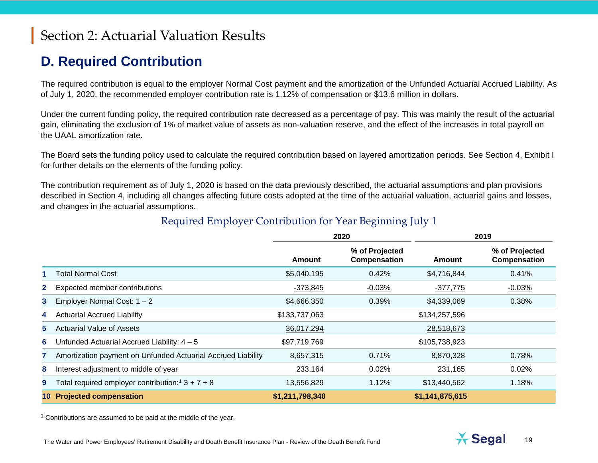## <span id="page-18-0"></span>**D. Required Contribution**

The required contribution is equal to the employer Normal Cost payment and the amortization of the Unfunded Actuarial Accrued Liability. As of July 1, 2020, the recommended employer contribution rate is 1.12% of compensation or \$13.6 million in dollars.

Under the current funding policy, the required contribution rate decreased as a percentage of pay. This was mainly the result of the actuarial gain, eliminating the exclusion of 1% of market value of assets as non-valuation reserve, and the effect of the increases in total payroll on the UAAL amortization rate.

The Board sets the funding policy used to calculate the required contribution based on layered amortization periods. See Section 4, Exhibit I for further details on the elements of the funding policy.

The contribution requirement as of July 1, 2020 is based on the data previously described, the actuarial assumptions and plan provisions described in Section 4, including all changes affecting future costs adopted at the time of the actuarial valuation, actuarial gains and losses, and changes in the actuarial assumptions.

|                |                                                                | 2020            |                                | 2019            |                                |
|----------------|----------------------------------------------------------------|-----------------|--------------------------------|-----------------|--------------------------------|
|                |                                                                | <b>Amount</b>   | % of Projected<br>Compensation | Amount          | % of Projected<br>Compensation |
|                | <b>Total Normal Cost</b>                                       | \$5,040,195     | 0.42%                          | \$4,716,844     | 0.41%                          |
| $\mathbf{2}^-$ | Expected member contributions                                  | $-373,845$      | $-0.03%$                       | $-377,775$      | $-0.03%$                       |
| 3              | Employer Normal Cost: $1 - 2$                                  | \$4,666,350     | 0.39%                          | \$4,339,069     | 0.38%                          |
| 4              | <b>Actuarial Accrued Liability</b>                             | \$133,737,063   |                                | \$134,257,596   |                                |
| 5              | <b>Actuarial Value of Assets</b>                               | 36,017,294      |                                | 28,518,673      |                                |
| 6              | Unfunded Actuarial Accrued Liability: $4 - 5$                  | \$97,719,769    |                                | \$105,738,923   |                                |
|                | Amortization payment on Unfunded Actuarial Accrued Liability   | 8,657,315       | 0.71%                          | 8,870,328       | 0.78%                          |
| 8              | Interest adjustment to middle of year                          | 233,164         | 0.02%                          | 231,165         | 0.02%                          |
| 9              | Total required employer contribution: <sup>1</sup> $3 + 7 + 8$ | 13,556,829      | 1.12%                          | \$13,440,562    | 1.18%                          |
|                | <b>Projected compensation</b>                                  | \$1,211,798,340 |                                | \$1,141,875,615 |                                |

#### Required Employer Contribution for Year Beginning July 1

<sup>1</sup> Contributions are assumed to be paid at the middle of the year.

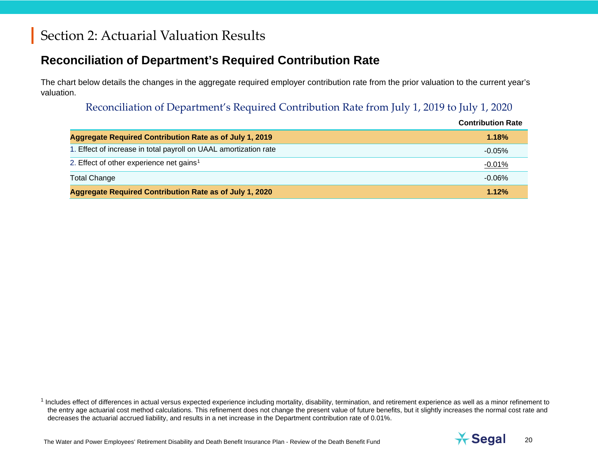#### **Reconciliation of Department's Required Contribution Rate**

The chart below details the changes in the aggregate required employer contribution rate from the prior valuation to the current year's valuation.

#### <span id="page-19-0"></span>Reconciliation of Department's Required Contribution Rate from July 1, 2019 to July 1, 2020

|                                                                  | <b>Contribution Rate</b> |
|------------------------------------------------------------------|--------------------------|
| <b>Aggregate Required Contribution Rate as of July 1, 2019</b>   | 1.18%                    |
| 1. Effect of increase in total payroll on UAAL amortization rate | $-0.05%$                 |
| 2. Effect of other experience net gains <sup>1</sup>             | $-0.01%$                 |
| <b>Total Change</b>                                              | $-0.06\%$                |
| Aggregate Required Contribution Rate as of July 1, 2020          | 1.12%                    |

<sup>1</sup> Includes effect of differences in actual versus expected experience including mortality, disability, termination, and retirement experience as well as a minor refinement to the entry age actuarial cost method calculations. This refinement does not change the present value of future benefits, but it slightly increases the normal cost rate and decreases the actuarial accrued liability, and results in a net increase in the Department contribution rate of 0.01%.

The Water and Power Employees' Retirement Disability and Death Benefit Insurance Plan - Review of the Death Benefit Fund 20<br>The Water and Power Employees' Retirement Disability and Death Benefit Insurance Plan - Review of

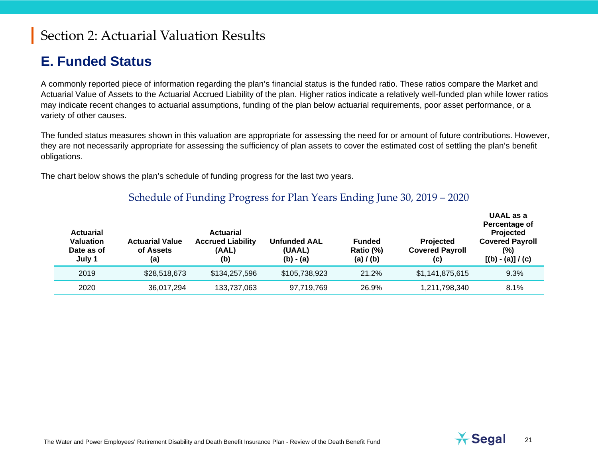#### **E. Funded Status**

A commonly reported piece of information regarding the plan's financial status is the funded ratio. These ratios compare the Market and Actuarial Value of Assets to the Actuarial Accrued Liability of the plan. Higher ratios indicate a relatively well-funded plan while lower ratios may indicate recent changes to actuarial assumptions, funding of the plan below actuarial requirements, poor asset performance, or a variety of other causes.

The funded status measures shown in this valuation are appropriate for assessing the need for or amount of future contributions. However, they are not necessarily appropriate for assessing the sufficiency of plan assets to cover the estimated cost of settling the plan's benefit obligations.

The chart below shows the plan's schedule of funding progress for the last two years.

#### Schedule of Funding Progress for Plan Years Ending June 30, 2019 – 2020

| <b>Actuarial</b><br><b>Valuation</b><br>Date as of<br>July 1 | <b>Actuarial Value</b><br>of Assets<br>(a) | <b>Actuarial</b><br><b>Accrued Liability</b><br>(AAL)<br>(b) | <b>Unfunded AAL</b><br>(UAAL)<br>$(b) - (a)$ | <b>Funded</b><br>Ratio (%)<br>(a) / (b) | Projected<br><b>Covered Payroll</b><br>(c) | UAAL as a<br>Percentage of<br>Projected<br><b>Covered Payroll</b><br>(%)<br>$[(b) - (a)] / (c)$ |
|--------------------------------------------------------------|--------------------------------------------|--------------------------------------------------------------|----------------------------------------------|-----------------------------------------|--------------------------------------------|-------------------------------------------------------------------------------------------------|
| 2019                                                         | \$28,518,673                               | \$134,257,596                                                | \$105,738,923                                | 21.2%                                   | \$1,141,875,615                            | 9.3%                                                                                            |
| 2020                                                         | 36,017,294                                 | 133,737,063                                                  | 97,719,769                                   | 26.9%                                   | 1,211,798,340                              | 8.1%                                                                                            |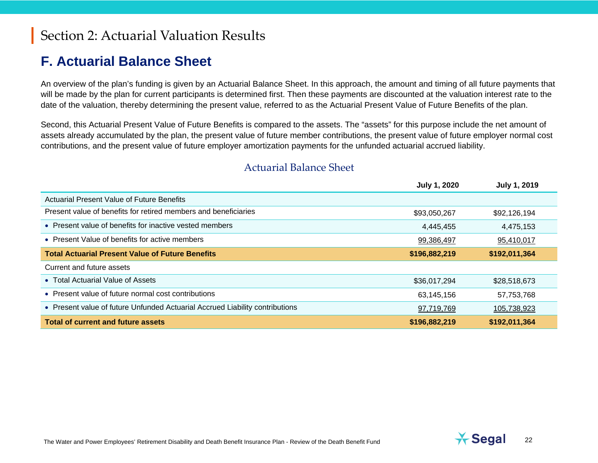#### **F. Actuarial Balance Sheet**

An overview of the plan's funding is given by an Actuarial Balance Sheet. In this approach, the amount and timing of all future payments that will be made by the plan for current participants is determined first. Then these payments are discounted at the valuation interest rate to the date of the valuation, thereby determining the present value, referred to as the Actuarial Present Value of Future Benefits of the plan.

Second, this Actuarial Present Value of Future Benefits is compared to the assets. The "assets" for this purpose include the net amount of assets already accumulated by the plan, the present value of future member contributions, the present value of future employer normal cost contributions, and the present value of future employer amortization payments for the unfunded actuarial accrued liability.

|                                                                              | July 1, 2020  | <b>July 1, 2019</b> |
|------------------------------------------------------------------------------|---------------|---------------------|
| Actuarial Present Value of Future Benefits                                   |               |                     |
| Present value of benefits for retired members and beneficiaries              | \$93,050,267  | \$92,126,194        |
| • Present value of benefits for inactive vested members                      | 4,445,455     | 4,475,153           |
| • Present Value of benefits for active members                               | 99,386,497    | 95,410,017          |
| <b>Total Actuarial Present Value of Future Benefits</b>                      | \$196,882,219 | \$192,011,364       |
| Current and future assets                                                    |               |                     |
| • Total Actuarial Value of Assets                                            | \$36,017,294  | \$28,518,673        |
| • Present value of future normal cost contributions                          | 63,145,156    | 57,753,768          |
| • Present value of future Unfunded Actuarial Accrued Liability contributions | 97,719,769    | 105,738,923         |
| <b>Total of current and future assets</b>                                    | \$196,882,219 | \$192,011,364       |

#### Actuarial Balance Sheet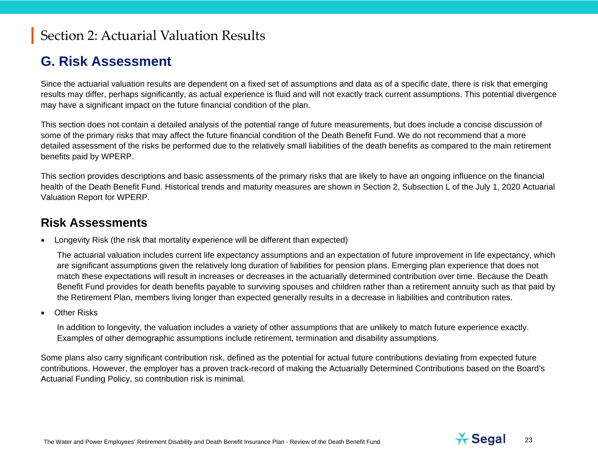#### **G. Risk Assessment**

Since the actuarial valuation results are dependent on a fixed set of assumptions and data as of a specific date, there is risk that emerging results may differ, perhaps significantly, as actual experience is fluid and will not exactly track current assumptions. This potential divergence may have a significant impact on the future financial condition of the plan.

This section does not contain a detailed analysis of the potential range of future measurements, but does include a concise discussion of some of the primary risks that may affect the future financial condition of the Death Benefit Fund. We do not recommend that a more detailed assessment of the risks be performed due to the relatively small liabilities of the death benefits as compared to the main retirement benefits paid by WPERP.

This section provides descriptions and basic assessments of the primary risks that are likely to have an ongoing influence on the financial health of the Death Benefit Fund. Historical trends and maturity measures are shown in Section 2, Subsection L of the July 1, 2020 Actuarial Valuation Report for WPERP.

#### **Risk Assessments**

• Longevity Risk (the risk that mortality experience will be different than expected)

The actuarial valuation includes current life expectancy assumptions and an expectation of future improvement in life expectancy, which are significant assumptions given the relatively long duration of liabilities for pension plans. Emerging plan experience that does not match these expectations will result in increases or decreases in the actuarially determined contribution over time. Because the Death Benefit Fund provides for death benefits payable to surviving spouses and children rather than a retirement annuity such as that paid by the Retirement Plan, members living longer than expected generally results in a decrease in liabilities and contribution rates.

**Other Risks** 

In addition to longevity, the valuation includes a variety of other assumptions that are unlikely to match future experience exactly. Examples of other demographic assumptions include retirement, termination and disability assumptions.

Some plans also carry significant contribution risk, defined as the potential for actual future contributions deviating from expected future contributions. However, the employer has a proven track-record of making the Actuarially Determined Contributions based on the Board's Actuarial Funding Policy, so contribution risk is minimal.

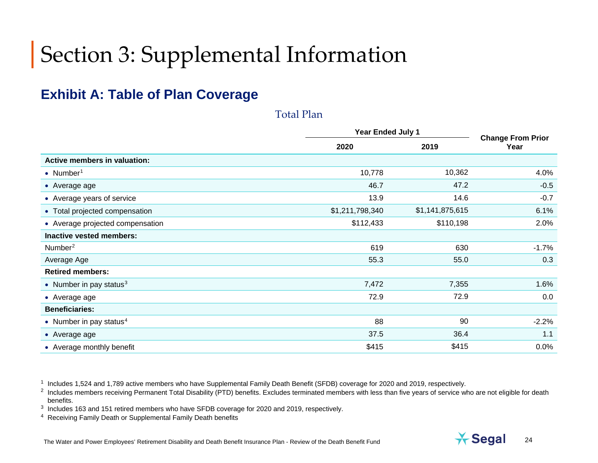#### **Exhibit A: Table of Plan Coverage**

|                                     | <b>Year Ended July 1</b> | <b>Change From Prior</b> |         |
|-------------------------------------|--------------------------|--------------------------|---------|
|                                     | 2020                     | 2019                     | Year    |
| <b>Active members in valuation:</b> |                          |                          |         |
| • Number <sup>1</sup>               | 10,778                   | 10,362                   | 4.0%    |
| • Average age                       | 46.7                     | 47.2                     | $-0.5$  |
| • Average years of service          | 13.9                     | 14.6                     | $-0.7$  |
| • Total projected compensation      | \$1,211,798,340          | \$1,141,875,615          | 6.1%    |
| • Average projected compensation    | \$112,433                | \$110,198                | 2.0%    |
| Inactive vested members:            |                          |                          |         |
| Number <sup>2</sup>                 | 619                      | 630                      | $-1.7%$ |
| Average Age                         | 55.3                     | 55.0                     | 0.3     |
| <b>Retired members:</b>             |                          |                          |         |
| • Number in pay status $3$          | 7,472                    | 7,355                    | 1.6%    |
| • Average age                       | 72.9                     | 72.9                     | 0.0     |
| <b>Beneficiaries:</b>               |                          |                          |         |
| • Number in pay status $4$          | 88                       | 90                       | $-2.2%$ |
| • Average age                       | 37.5                     | 36.4                     | 1.1     |
| • Average monthly benefit           | \$415                    | \$415                    | 0.0%    |

<span id="page-23-3"></span><span id="page-23-2"></span><span id="page-23-1"></span><span id="page-23-0"></span>Total Plan

<sup>1</sup> Includes 1,524 and 1,789 active members who have Supplemental Family Death Benefit (SFDB) coverage for 2020 and 2019, respectively.



<sup>&</sup>lt;sup>2</sup> Includes members receiving Permanent Total Disability (PTD) benefits. Excludes terminated members with less than five years of service who are not eligible for death benefits.

<sup>3</sup> Includes 163 and 151 retired members who have SFDB coverage for 2020 and 2019, respectively.

<sup>4</sup> Receiving Family Death or Supplemental Family Death benefits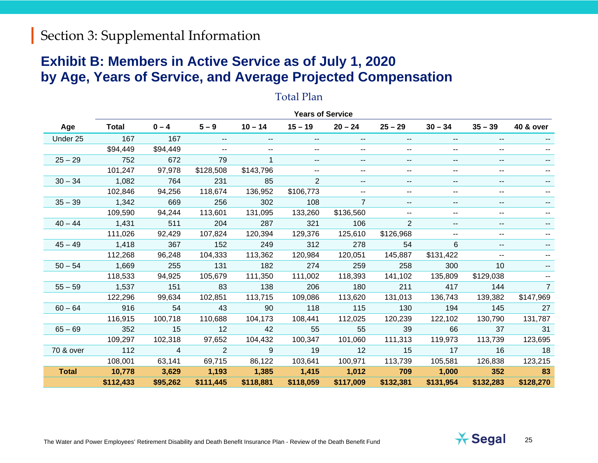#### **Exhibit B: Members in Active Service as of July 1, 2020 by Age, Years of Service, and Average Projected Compensation**

|              |              |                |                          |                          | <b>Years of Service</b> |                |                          |               |                          |                      |
|--------------|--------------|----------------|--------------------------|--------------------------|-------------------------|----------------|--------------------------|---------------|--------------------------|----------------------|
| Age          | <b>Total</b> | $0 - 4$        | $5 - 9$                  | $10 - 14$                | $15 - 19$               | $20 - 24$      | $25 - 29$                | $30 - 34$     | $35 - 39$                | <b>40 &amp; over</b> |
| Under 25     | 167          | 167            | $\overline{\phantom{a}}$ | $\overline{\phantom{a}}$ | --                      | --             | $- -$                    | --            | $\overline{\phantom{a}}$ |                      |
|              | \$94,449     | \$94,449       | $\overline{\phantom{a}}$ | $- -$                    | $- -$                   | --             | --                       | --            | $\overline{\phantom{a}}$ |                      |
| $25 - 29$    | 752          | 672            | 79                       |                          | ۰.                      | --             | $\overline{\phantom{a}}$ | --            | $\overline{\phantom{a}}$ |                      |
|              | 101,247      | 97,978         | \$128,508                | \$143,796                | ۰.                      | --             | ۰.                       | --            | --                       |                      |
| $30 - 34$    | 1,082        | 764            | 231                      | 85                       | $\overline{2}$          |                | --                       | $\frac{1}{2}$ | $\overline{\phantom{a}}$ |                      |
|              | 102,846      | 94,256         | 118,674                  | 136,952                  | \$106,773               |                | ۰.                       | --            | --                       |                      |
| $35 - 39$    | 1,342        | 669            | 256                      | 302                      | 108                     | $\overline{7}$ | $\overline{\phantom{a}}$ | --            | $\overline{\phantom{a}}$ |                      |
|              | 109,590      | 94,244         | 113,601                  | 131,095                  | 133,260                 | \$136,560      | н.                       | --            | $\overline{\phantom{a}}$ |                      |
| $40 - 44$    | 1,431        | 511            | 204                      | 287                      | 321                     | 106            | $\overline{2}$           | --            | $\overline{\phantom{a}}$ |                      |
|              | 111,026      | 92,429         | 107,824                  | 120,394                  | 129,376                 | 125,610        | \$126,968                | --            | --                       |                      |
| $45 - 49$    | 1,418        | 367            | 152                      | 249                      | 312                     | 278            | 54                       | 6             | --                       |                      |
|              | 112,268      | 96,248         | 104,333                  | 113,362                  | 120,984                 | 120,051        | 145,887                  | \$131,422     | --                       |                      |
| $50 - 54$    | 1,669        | 255            | 131                      | 182                      | 274                     | 259            | 258                      | 300           | 10                       |                      |
|              | 118,533      | 94,925         | 105,679                  | 111,350                  | 111,002                 | 118,393        | 141,102                  | 135,809       | \$129,038                |                      |
| $55 - 59$    | 1,537        | 151            | 83                       | 138                      | 206                     | 180            | 211                      | 417           | 144                      | $\overline{7}$       |
|              | 122,296      | 99,634         | 102,851                  | 113,715                  | 109,086                 | 113,620        | 131,013                  | 136,743       | 139,382                  | \$147,969            |
| $60 - 64$    | 916          | 54             | 43                       | 90                       | 118                     | 115            | 130                      | 194           | 145                      | 27                   |
|              | 116,915      | 100,718        | 110,688                  | 104,173                  | 108,441                 | 112,025        | 120,239                  | 122,102       | 130,790                  | 131,787              |
| $65 - 69$    | 352          | 15             | 12                       | 42                       | 55                      | 55             | 39                       | 66            | 37                       | 31                   |
|              | 109,297      | 102,318        | 97,652                   | 104,432                  | 100,347                 | 101,060        | 111,313                  | 119,973       | 113,739                  | 123,695              |
| 70 & over    | 112          | $\overline{4}$ | 2                        | 9                        | 19                      | 12             | 15                       | 17            | 16                       | 18                   |
|              | 108,001      | 63,141         | 69,715                   | 86,122                   | 103,641                 | 100,971        | 113,739                  | 105,581       | 126,838                  | 123,215              |
| <b>Total</b> | 10,778       | 3,629          | 1,193                    | 1,385                    | 1,415                   | 1,012          | 709                      | 1,000         | 352                      | 83                   |
|              | \$112,433    | \$95,262       | \$111,445                | \$118,881                | \$118,059               | \$117,009      | \$132,381                | \$131,954     | \$132,283                | \$128,270            |

#### Total Plan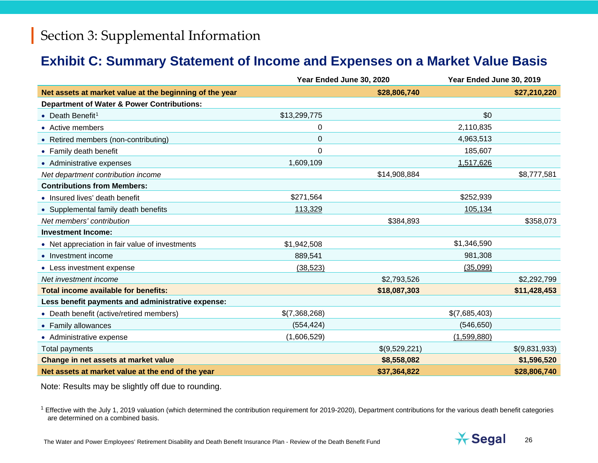#### <span id="page-25-0"></span>**Exhibit C: Summary Statement of Income and Expenses on a Market Value Basis**

|                                                         | Year Ended June 30, 2020 |               | Year Ended June 30, 2019 |               |
|---------------------------------------------------------|--------------------------|---------------|--------------------------|---------------|
| Net assets at market value at the beginning of the year |                          | \$28,806,740  |                          | \$27,210,220  |
| <b>Department of Water &amp; Power Contributions:</b>   |                          |               |                          |               |
| • Death Benefit <sup>1</sup>                            | \$13,299,775             |               | \$0                      |               |
| • Active members                                        | 0                        |               | 2,110,835                |               |
| • Retired members (non-contributing)                    | 0                        |               | 4,963,513                |               |
| • Family death benefit                                  | 0                        |               | 185,607                  |               |
| • Administrative expenses                               | 1,609,109                |               | 1,517,626                |               |
| Net department contribution income                      |                          | \$14,908,884  |                          | \$8,777,581   |
| <b>Contributions from Members:</b>                      |                          |               |                          |               |
| • Insured lives' death benefit                          | \$271,564                |               | \$252,939                |               |
| • Supplemental family death benefits                    | 113,329                  |               | 105,134                  |               |
| Net members' contribution                               |                          | \$384,893     |                          | \$358,073     |
| <b>Investment Income:</b>                               |                          |               |                          |               |
| • Net appreciation in fair value of investments         | \$1,942,508              |               | \$1,346,590              |               |
| • Investment income                                     | 889,541                  |               | 981,308                  |               |
| • Less investment expense                               | (38, 523)                |               | (35,099)                 |               |
| Net investment income                                   |                          | \$2,793,526   |                          | \$2,292,799   |
| Total income available for benefits:                    |                          | \$18,087,303  |                          | \$11,428,453  |
| Less benefit payments and administrative expense:       |                          |               |                          |               |
| • Death benefit (active/retired members)                | \$(7,368,268)            |               | \$(7,685,403)            |               |
| • Family allowances                                     | (554, 424)               |               | (546, 650)               |               |
| • Administrative expense                                | (1,606,529)              |               | (1,599,880)              |               |
| Total payments                                          |                          | \$(9,529,221) |                          | \$(9,831,933) |
| Change in net assets at market value                    |                          | \$8,558,082   |                          | \$1,596,520   |
| Net assets at market value at the end of the year       |                          | \$37,364,822  |                          | \$28,806,740  |

Note: Results may be slightly off due to rounding.

 $1$  Effective with the July 1, 2019 valuation (which determined the contribution requirement for 2019-2020), Department contributions for the various death benefit categories are determined on a combined basis.

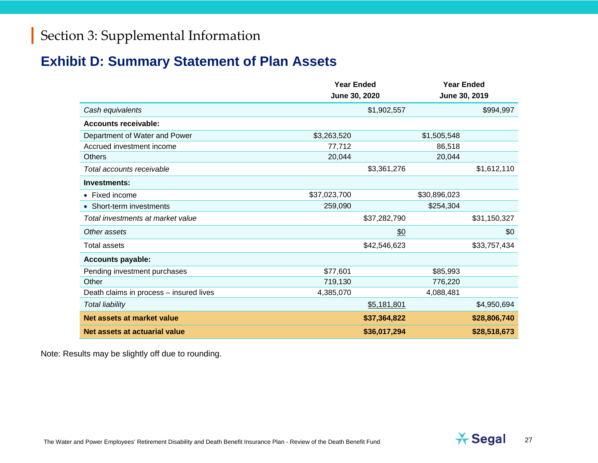## **Exhibit D: Summary Statement of Plan Assets**

|                                         | <b>Year Ended</b><br>June 30, 2020 |              | <b>Year Ended</b><br>June 30, 2019 |              |
|-----------------------------------------|------------------------------------|--------------|------------------------------------|--------------|
| Cash equivalents                        |                                    | \$1,902,557  |                                    | \$994,997    |
| <b>Accounts receivable:</b>             |                                    |              |                                    |              |
| Department of Water and Power           | \$3,263,520                        |              | \$1,505,548                        |              |
| Accrued investment income               | 77,712                             |              | 86,518                             |              |
| <b>Others</b>                           | 20,044                             |              | 20,044                             |              |
| Total accounts receivable               |                                    | \$3,361,276  |                                    | \$1,612,110  |
| Investments:                            |                                    |              |                                    |              |
| • Fixed income                          | \$37,023,700                       |              | \$30,896,023                       |              |
| • Short-term investments                | 259,090                            |              | \$254,304                          |              |
| Total investments at market value       |                                    | \$37,282,790 |                                    | \$31,150,327 |
| Other assets                            |                                    | \$0          |                                    | \$0          |
| <b>Total assets</b>                     |                                    | \$42,546,623 |                                    | \$33,757,434 |
| <b>Accounts payable:</b>                |                                    |              |                                    |              |
| Pending investment purchases            | \$77,601                           |              | \$85,993                           |              |
| Other                                   | 719,130                            |              | 776,220                            |              |
| Death claims in process - insured lives | 4,385,070                          |              | 4,088,481                          |              |
| <b>Total liability</b>                  |                                    | \$5,181,801  |                                    | \$4,950,694  |
| Net assets at market value              |                                    | \$37,364,822 |                                    | \$28,806,740 |
| Net assets at actuarial value           |                                    | \$36,017,294 |                                    | \$28,518,673 |

Note: Results may be slightly off due to rounding.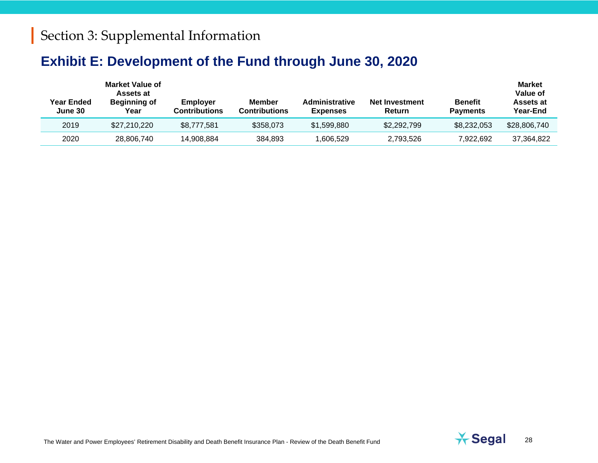#### **Exhibit E: Development of the Fund through June 30, 2020**

| Year Ended<br>June 30 | <b>Market Value of</b><br>Assets at<br><b>Beginning of</b><br>Year | <b>Employer</b><br><b>Contributions</b> | Member<br><b>Contributions</b> | <b>Administrative</b><br><b>Expenses</b> | Net Investment<br><b>Return</b> | <b>Benefit</b><br><b>Payments</b> | <b>Market</b><br>Value of<br>Assets at<br><b>Year-End</b> |
|-----------------------|--------------------------------------------------------------------|-----------------------------------------|--------------------------------|------------------------------------------|---------------------------------|-----------------------------------|-----------------------------------------------------------|
| 2019                  | \$27,210,220                                                       | \$8,777,581                             | \$358,073                      | \$1,599,880                              | \$2,292,799                     | \$8,232,053                       | \$28,806,740                                              |
| 2020                  | 28,806,740                                                         | 14.908.884                              | 384.893                        | ,606,529                                 | 2,793,526                       | 7.922.692                         | 37.364.822                                                |



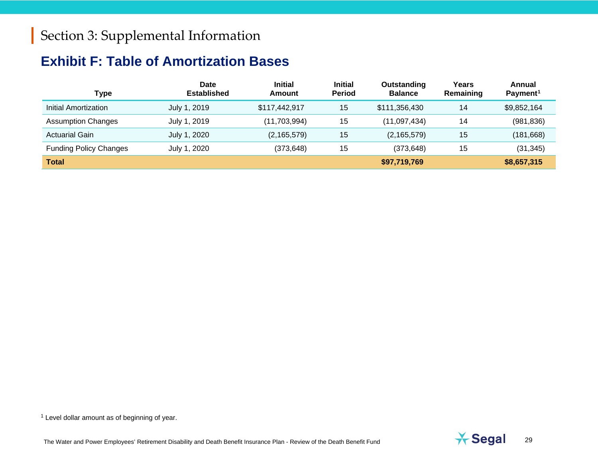## <span id="page-28-1"></span><span id="page-28-0"></span>**Exhibit F: Table of Amortization Bases**

| <b>Type</b>                   | Date<br><b>Established</b> | <b>Initial</b><br>Amount | <b>Initial</b><br><b>Period</b> | Outstanding<br><b>Balance</b> | Years<br>Remaining | Annual<br>Payment <sup>1</sup> |
|-------------------------------|----------------------------|--------------------------|---------------------------------|-------------------------------|--------------------|--------------------------------|
| Initial Amortization          | July 1, 2019               | \$117,442,917            | 15                              | \$111,356,430                 | 14                 | \$9,852,164                    |
| <b>Assumption Changes</b>     | July 1, 2019               | (11,703,994)             | 15                              | (11,097,434)                  | 14                 | (981, 836)                     |
| <b>Actuarial Gain</b>         | July 1, 2020               | (2, 165, 579)            | 15                              | (2, 165, 579)                 | 15                 | (181, 668)                     |
| <b>Funding Policy Changes</b> | July 1, 2020               | (373, 648)               | 15                              | (373, 648)                    | 15                 | (31, 345)                      |
| <b>Total</b>                  |                            |                          |                                 | \$97,719,769                  |                    | \$8,657,315                    |

 $1$  Level dollar amount as of beginning of year.

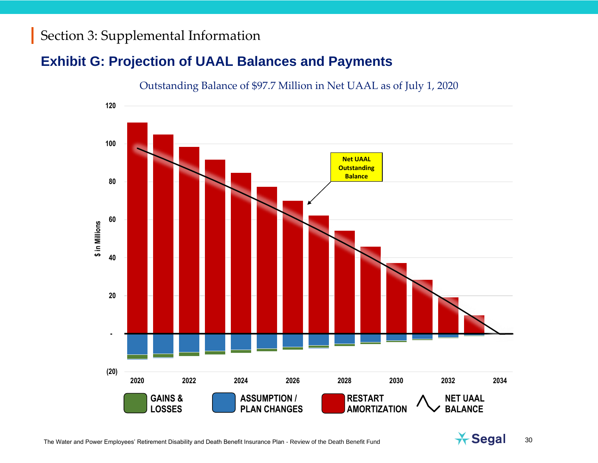#### **Exhibit G: Projection of UAAL Balances and Payments**



Outstanding Balance of \$97.7 Million in Net UAAL as of July 1, 2020

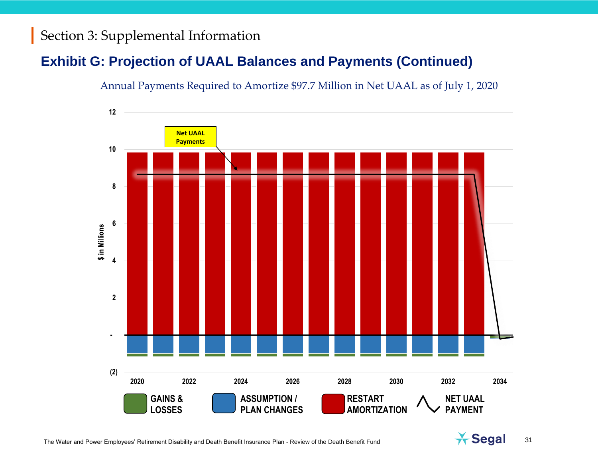## **Exhibit G: Projection of UAAL Balances and Payments (Continued)**

#### Annual Payments Required to Amortize \$97.7 Million in Net UAAL as of July 1, 2020



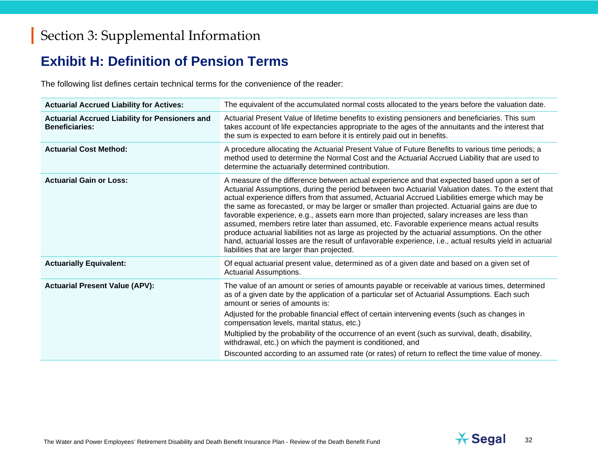#### **Exhibit H: Definition of Pension Terms**

The following list defines certain technical terms for the convenience of the reader:

| <b>Actuarial Accrued Liability for Actives:</b>                                | The equivalent of the accumulated normal costs allocated to the years before the valuation date.                                                                                                                                                                                                                                                                                                                                                                                                                                                                                                                                                                                                                                                                                                                                                                    |
|--------------------------------------------------------------------------------|---------------------------------------------------------------------------------------------------------------------------------------------------------------------------------------------------------------------------------------------------------------------------------------------------------------------------------------------------------------------------------------------------------------------------------------------------------------------------------------------------------------------------------------------------------------------------------------------------------------------------------------------------------------------------------------------------------------------------------------------------------------------------------------------------------------------------------------------------------------------|
| <b>Actuarial Accrued Liability for Pensioners and</b><br><b>Beneficiaries:</b> | Actuarial Present Value of lifetime benefits to existing pensioners and beneficiaries. This sum<br>takes account of life expectancies appropriate to the ages of the annuitants and the interest that<br>the sum is expected to earn before it is entirely paid out in benefits.                                                                                                                                                                                                                                                                                                                                                                                                                                                                                                                                                                                    |
| <b>Actuarial Cost Method:</b>                                                  | A procedure allocating the Actuarial Present Value of Future Benefits to various time periods; a<br>method used to determine the Normal Cost and the Actuarial Accrued Liability that are used to<br>determine the actuarially determined contribution.                                                                                                                                                                                                                                                                                                                                                                                                                                                                                                                                                                                                             |
| <b>Actuarial Gain or Loss:</b>                                                 | A measure of the difference between actual experience and that expected based upon a set of<br>Actuarial Assumptions, during the period between two Actuarial Valuation dates. To the extent that<br>actual experience differs from that assumed, Actuarial Accrued Liabilities emerge which may be<br>the same as forecasted, or may be larger or smaller than projected. Actuarial gains are due to<br>favorable experience, e.g., assets earn more than projected, salary increases are less than<br>assumed, members retire later than assumed, etc. Favorable experience means actual results<br>produce actuarial liabilities not as large as projected by the actuarial assumptions. On the other<br>hand, actuarial losses are the result of unfavorable experience, i.e., actual results yield in actuarial<br>liabilities that are larger than projected. |
| <b>Actuarially Equivalent:</b>                                                 | Of equal actuarial present value, determined as of a given date and based on a given set of<br>Actuarial Assumptions.                                                                                                                                                                                                                                                                                                                                                                                                                                                                                                                                                                                                                                                                                                                                               |
| <b>Actuarial Present Value (APV):</b>                                          | The value of an amount or series of amounts payable or receivable at various times, determined<br>as of a given date by the application of a particular set of Actuarial Assumptions. Each such<br>amount or series of amounts is:<br>Adjusted for the probable financial effect of certain intervening events (such as changes in<br>compensation levels, marital status, etc.)<br>Multiplied by the probability of the occurrence of an event (such as survival, death, disability,<br>withdrawal, etc.) on which the payment is conditioned, and<br>Discounted according to an assumed rate (or rates) of return to reflect the time value of money.                                                                                                                                                                                                             |

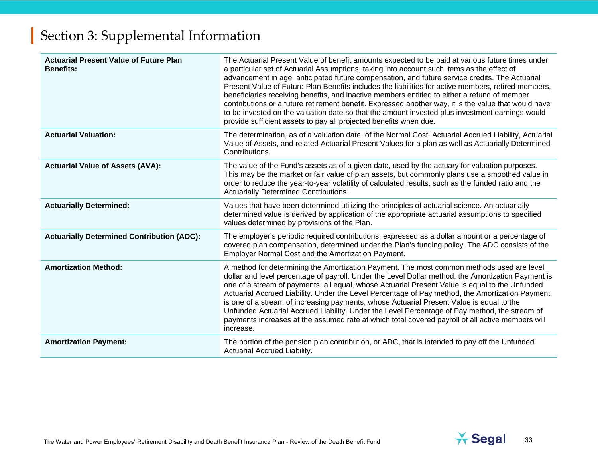| <b>Actuarial Present Value of Future Plan</b><br><b>Benefits:</b> | The Actuarial Present Value of benefit amounts expected to be paid at various future times under<br>a particular set of Actuarial Assumptions, taking into account such items as the effect of<br>advancement in age, anticipated future compensation, and future service credits. The Actuarial<br>Present Value of Future Plan Benefits includes the liabilities for active members, retired members,<br>beneficiaries receiving benefits, and inactive members entitled to either a refund of member<br>contributions or a future retirement benefit. Expressed another way, it is the value that would have<br>to be invested on the valuation date so that the amount invested plus investment earnings would<br>provide sufficient assets to pay all projected benefits when due. |
|-------------------------------------------------------------------|-----------------------------------------------------------------------------------------------------------------------------------------------------------------------------------------------------------------------------------------------------------------------------------------------------------------------------------------------------------------------------------------------------------------------------------------------------------------------------------------------------------------------------------------------------------------------------------------------------------------------------------------------------------------------------------------------------------------------------------------------------------------------------------------|
| <b>Actuarial Valuation:</b>                                       | The determination, as of a valuation date, of the Normal Cost, Actuarial Accrued Liability, Actuarial<br>Value of Assets, and related Actuarial Present Values for a plan as well as Actuarially Determined<br>Contributions.                                                                                                                                                                                                                                                                                                                                                                                                                                                                                                                                                           |
| <b>Actuarial Value of Assets (AVA):</b>                           | The value of the Fund's assets as of a given date, used by the actuary for valuation purposes.<br>This may be the market or fair value of plan assets, but commonly plans use a smoothed value in<br>order to reduce the year-to-year volatility of calculated results, such as the funded ratio and the<br><b>Actuarially Determined Contributions.</b>                                                                                                                                                                                                                                                                                                                                                                                                                                |
| <b>Actuarially Determined:</b>                                    | Values that have been determined utilizing the principles of actuarial science. An actuarially<br>determined value is derived by application of the appropriate actuarial assumptions to specified<br>values determined by provisions of the Plan.                                                                                                                                                                                                                                                                                                                                                                                                                                                                                                                                      |
| <b>Actuarially Determined Contribution (ADC):</b>                 | The employer's periodic required contributions, expressed as a dollar amount or a percentage of<br>covered plan compensation, determined under the Plan's funding policy. The ADC consists of the<br>Employer Normal Cost and the Amortization Payment.                                                                                                                                                                                                                                                                                                                                                                                                                                                                                                                                 |
| <b>Amortization Method:</b>                                       | A method for determining the Amortization Payment. The most common methods used are level<br>dollar and level percentage of payroll. Under the Level Dollar method, the Amortization Payment is<br>one of a stream of payments, all equal, whose Actuarial Present Value is equal to the Unfunded<br>Actuarial Accrued Liability. Under the Level Percentage of Pay method, the Amortization Payment<br>is one of a stream of increasing payments, whose Actuarial Present Value is equal to the<br>Unfunded Actuarial Accrued Liability. Under the Level Percentage of Pay method, the stream of<br>payments increases at the assumed rate at which total covered payroll of all active members will<br>increase.                                                                      |
| <b>Amortization Payment:</b>                                      | The portion of the pension plan contribution, or ADC, that is intended to pay off the Unfunded<br>Actuarial Accrued Liability.                                                                                                                                                                                                                                                                                                                                                                                                                                                                                                                                                                                                                                                          |

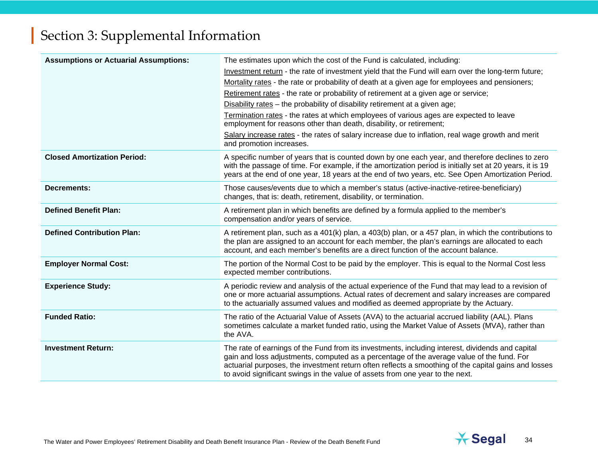| <b>Assumptions or Actuarial Assumptions:</b> | The estimates upon which the cost of the Fund is calculated, including:<br>Investment return - the rate of investment yield that the Fund will earn over the long-term future;<br>Mortality rates - the rate or probability of death at a given age for employees and pensioners;<br>Retirement rates - the rate or probability of retirement at a given age or service;<br>Disability rates - the probability of disability retirement at a given age;<br>Termination rates - the rates at which employees of various ages are expected to leave<br>employment for reasons other than death, disability, or retirement;<br>Salary increase rates - the rates of salary increase due to inflation, real wage growth and merit<br>and promotion increases. |
|----------------------------------------------|-----------------------------------------------------------------------------------------------------------------------------------------------------------------------------------------------------------------------------------------------------------------------------------------------------------------------------------------------------------------------------------------------------------------------------------------------------------------------------------------------------------------------------------------------------------------------------------------------------------------------------------------------------------------------------------------------------------------------------------------------------------|
| <b>Closed Amortization Period:</b>           | A specific number of years that is counted down by one each year, and therefore declines to zero<br>with the passage of time. For example, if the amortization period is initially set at 20 years, it is 19<br>years at the end of one year, 18 years at the end of two years, etc. See Open Amortization Period.                                                                                                                                                                                                                                                                                                                                                                                                                                        |
| <b>Decrements:</b>                           | Those causes/events due to which a member's status (active-inactive-retiree-beneficiary)<br>changes, that is: death, retirement, disability, or termination.                                                                                                                                                                                                                                                                                                                                                                                                                                                                                                                                                                                              |
| <b>Defined Benefit Plan:</b>                 | A retirement plan in which benefits are defined by a formula applied to the member's<br>compensation and/or years of service.                                                                                                                                                                                                                                                                                                                                                                                                                                                                                                                                                                                                                             |
| <b>Defined Contribution Plan:</b>            | A retirement plan, such as a 401(k) plan, a 403(b) plan, or a 457 plan, in which the contributions to<br>the plan are assigned to an account for each member, the plan's earnings are allocated to each<br>account, and each member's benefits are a direct function of the account balance.                                                                                                                                                                                                                                                                                                                                                                                                                                                              |
| <b>Employer Normal Cost:</b>                 | The portion of the Normal Cost to be paid by the employer. This is equal to the Normal Cost less<br>expected member contributions.                                                                                                                                                                                                                                                                                                                                                                                                                                                                                                                                                                                                                        |
| <b>Experience Study:</b>                     | A periodic review and analysis of the actual experience of the Fund that may lead to a revision of<br>one or more actuarial assumptions. Actual rates of decrement and salary increases are compared<br>to the actuarially assumed values and modified as deemed appropriate by the Actuary.                                                                                                                                                                                                                                                                                                                                                                                                                                                              |
| <b>Funded Ratio:</b>                         | The ratio of the Actuarial Value of Assets (AVA) to the actuarial accrued liability (AAL). Plans<br>sometimes calculate a market funded ratio, using the Market Value of Assets (MVA), rather than<br>the AVA.                                                                                                                                                                                                                                                                                                                                                                                                                                                                                                                                            |
| <b>Investment Return:</b>                    | The rate of earnings of the Fund from its investments, including interest, dividends and capital<br>gain and loss adjustments, computed as a percentage of the average value of the fund. For<br>actuarial purposes, the investment return often reflects a smoothing of the capital gains and losses<br>to avoid significant swings in the value of assets from one year to the next.                                                                                                                                                                                                                                                                                                                                                                    |

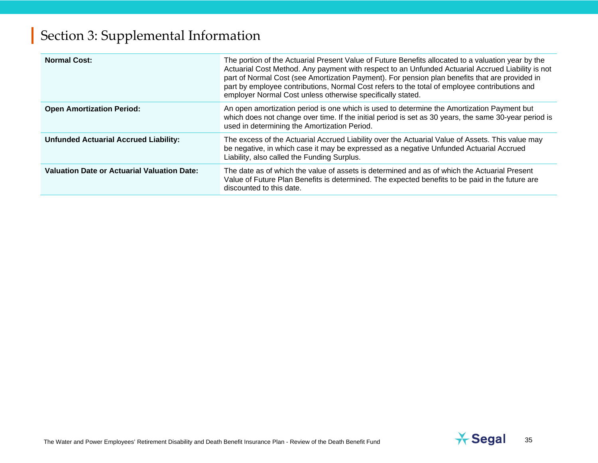| <b>Normal Cost:</b>                                | The portion of the Actuarial Present Value of Future Benefits allocated to a valuation year by the<br>Actuarial Cost Method. Any payment with respect to an Unfunded Actuarial Accrued Liability is not<br>part of Normal Cost (see Amortization Payment). For pension plan benefits that are provided in<br>part by employee contributions, Normal Cost refers to the total of employee contributions and<br>employer Normal Cost unless otherwise specifically stated. |
|----------------------------------------------------|--------------------------------------------------------------------------------------------------------------------------------------------------------------------------------------------------------------------------------------------------------------------------------------------------------------------------------------------------------------------------------------------------------------------------------------------------------------------------|
| <b>Open Amortization Period:</b>                   | An open amortization period is one which is used to determine the Amortization Payment but<br>which does not change over time. If the initial period is set as 30 years, the same 30-year period is<br>used in determining the Amortization Period.                                                                                                                                                                                                                      |
| <b>Unfunded Actuarial Accrued Liability:</b>       | The excess of the Actuarial Accrued Liability over the Actuarial Value of Assets. This value may<br>be negative, in which case it may be expressed as a negative Unfunded Actuarial Accrued<br>Liability, also called the Funding Surplus.                                                                                                                                                                                                                               |
| <b>Valuation Date or Actuarial Valuation Date:</b> | The date as of which the value of assets is determined and as of which the Actuarial Present<br>Value of Future Plan Benefits is determined. The expected benefits to be paid in the future are<br>discounted to this date.                                                                                                                                                                                                                                              |

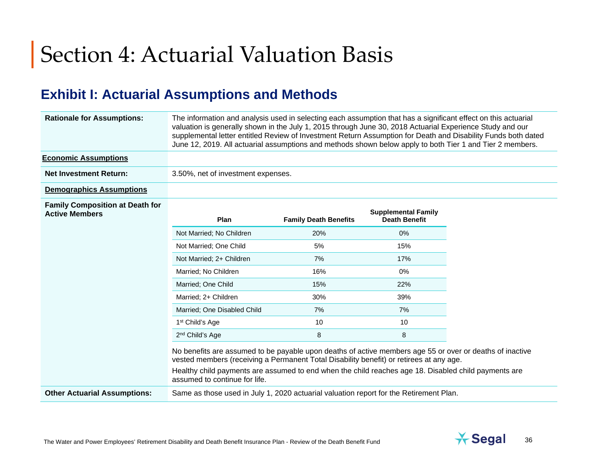# Section 4: Actuarial Valuation Basis

## **Exhibit I: Actuarial Assumptions and Methods**

| <b>Rationale for Assumptions:</b>                               | The information and analysis used in selecting each assumption that has a significant effect on this actuarial<br>valuation is generally shown in the July 1, 2015 through June 30, 2018 Actuarial Experience Study and our<br>supplemental letter entitled Review of Investment Return Assumption for Death and Disability Funds both dated<br>June 12, 2019. All actuarial assumptions and methods shown below apply to both Tier 1 and Tier 2 members. |                              |                                                    |  |
|-----------------------------------------------------------------|-----------------------------------------------------------------------------------------------------------------------------------------------------------------------------------------------------------------------------------------------------------------------------------------------------------------------------------------------------------------------------------------------------------------------------------------------------------|------------------------------|----------------------------------------------------|--|
| <b>Economic Assumptions</b>                                     |                                                                                                                                                                                                                                                                                                                                                                                                                                                           |                              |                                                    |  |
| <b>Net Investment Return:</b>                                   | 3.50%, net of investment expenses.                                                                                                                                                                                                                                                                                                                                                                                                                        |                              |                                                    |  |
| <b>Demographics Assumptions</b>                                 |                                                                                                                                                                                                                                                                                                                                                                                                                                                           |                              |                                                    |  |
| <b>Family Composition at Death for</b><br><b>Active Members</b> | Plan                                                                                                                                                                                                                                                                                                                                                                                                                                                      | <b>Family Death Benefits</b> | <b>Supplemental Family</b><br><b>Death Benefit</b> |  |
|                                                                 | Not Married; No Children                                                                                                                                                                                                                                                                                                                                                                                                                                  | 20%                          | 0%                                                 |  |
|                                                                 | Not Married; One Child                                                                                                                                                                                                                                                                                                                                                                                                                                    | 5%                           | 15%                                                |  |
|                                                                 | Not Married; 2+ Children                                                                                                                                                                                                                                                                                                                                                                                                                                  | 7%                           | 17%                                                |  |
|                                                                 | Married; No Children                                                                                                                                                                                                                                                                                                                                                                                                                                      | 16%                          | 0%                                                 |  |
|                                                                 | Married; One Child                                                                                                                                                                                                                                                                                                                                                                                                                                        | 15%                          | 22%                                                |  |
|                                                                 | Married; 2+ Children                                                                                                                                                                                                                                                                                                                                                                                                                                      | 30%                          | 39%                                                |  |
|                                                                 | Married; One Disabled Child                                                                                                                                                                                                                                                                                                                                                                                                                               | 7%                           | 7%                                                 |  |
|                                                                 | 1 <sup>st</sup> Child's Age                                                                                                                                                                                                                                                                                                                                                                                                                               | 10                           | 10                                                 |  |
|                                                                 | 2 <sup>nd</sup> Child's Age                                                                                                                                                                                                                                                                                                                                                                                                                               | 8                            | 8                                                  |  |
|                                                                 | No benefits are assumed to be payable upon deaths of active members age 55 or over or deaths of inactive<br>vested members (receiving a Permanent Total Disability benefit) or retirees at any age.<br>Healthy child payments are assumed to end when the child reaches age 18. Disabled child payments are<br>assumed to continue for life.                                                                                                              |                              |                                                    |  |
| <b>Other Actuarial Assumptions:</b>                             | Same as those used in July 1, 2020 actuarial valuation report for the Retirement Plan.                                                                                                                                                                                                                                                                                                                                                                    |                              |                                                    |  |

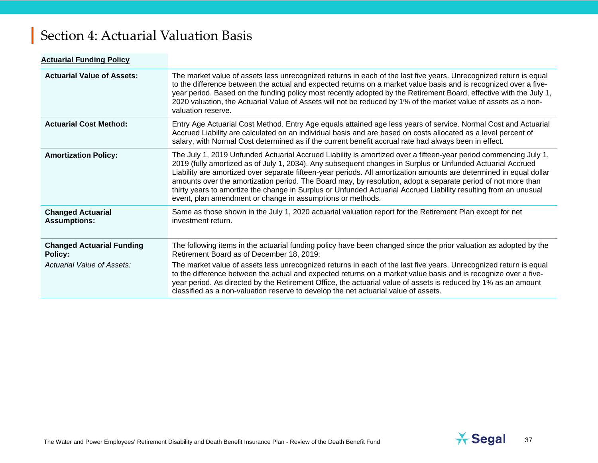# Section 4: Actuarial Valuation Basis

| <b>Actuarial Funding Policy</b>                                                  |                                                                                                                                                                                                                                                                                                                                                                                                                                                                                                                                                                                                                                                         |
|----------------------------------------------------------------------------------|---------------------------------------------------------------------------------------------------------------------------------------------------------------------------------------------------------------------------------------------------------------------------------------------------------------------------------------------------------------------------------------------------------------------------------------------------------------------------------------------------------------------------------------------------------------------------------------------------------------------------------------------------------|
| <b>Actuarial Value of Assets:</b>                                                | The market value of assets less unrecognized returns in each of the last five years. Unrecognized return is equal<br>to the difference between the actual and expected returns on a market value basis and is recognized over a five-<br>year period. Based on the funding policy most recently adopted by the Retirement Board, effective with the July 1,<br>2020 valuation, the Actuarial Value of Assets will not be reduced by 1% of the market value of assets as a non-<br>valuation reserve.                                                                                                                                                    |
| <b>Actuarial Cost Method:</b>                                                    | Entry Age Actuarial Cost Method. Entry Age equals attained age less years of service. Normal Cost and Actuarial<br>Accrued Liability are calculated on an individual basis and are based on costs allocated as a level percent of<br>salary, with Normal Cost determined as if the current benefit accrual rate had always been in effect.                                                                                                                                                                                                                                                                                                              |
| <b>Amortization Policy:</b>                                                      | The July 1, 2019 Unfunded Actuarial Accrued Liability is amortized over a fifteen-year period commencing July 1,<br>2019 (fully amortized as of July 1, 2034). Any subsequent changes in Surplus or Unfunded Actuarial Accrued<br>Liability are amortized over separate fifteen-year periods. All amortization amounts are determined in equal dollar<br>amounts over the amortization period. The Board may, by resolution, adopt a separate period of not more than<br>thirty years to amortize the change in Surplus or Unfunded Actuarial Accrued Liability resulting from an unusual<br>event, plan amendment or change in assumptions or methods. |
| <b>Changed Actuarial</b><br><b>Assumptions:</b>                                  | Same as those shown in the July 1, 2020 actuarial valuation report for the Retirement Plan except for net<br>investment return.                                                                                                                                                                                                                                                                                                                                                                                                                                                                                                                         |
| <b>Changed Actuarial Funding</b><br><b>Policy:</b><br>Actuarial Value of Assets: | The following items in the actuarial funding policy have been changed since the prior valuation as adopted by the<br>Retirement Board as of December 18, 2019:<br>The market value of assets less unrecognized returns in each of the last five years. Unrecognized return is equal<br>to the difference between the actual and expected returns on a market value basis and is recognize over a five-<br>year period. As directed by the Retirement Office, the actuarial value of assets is reduced by 1% as an amount<br>classified as a non-valuation reserve to develop the net actuarial value of assets.                                         |

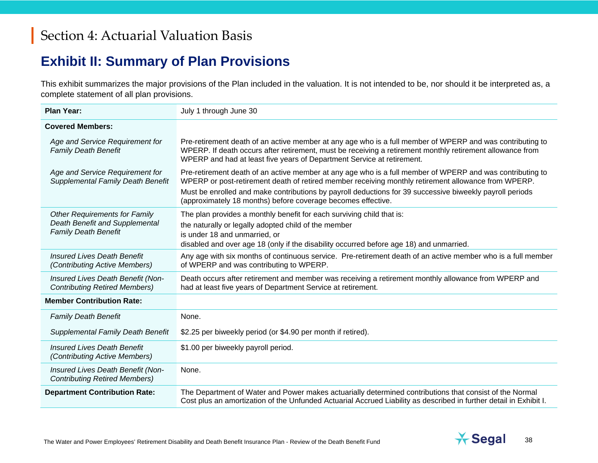## **Exhibit II: Summary of Plan Provisions**

This exhibit summarizes the major provisions of the Plan included in the valuation. It is not intended to be, nor should it be interpreted as, a complete statement of all plan provisions.

| <b>Plan Year:</b>                                                                                     | July 1 through June 30                                                                                                                                                                                                                                                                           |  |
|-------------------------------------------------------------------------------------------------------|--------------------------------------------------------------------------------------------------------------------------------------------------------------------------------------------------------------------------------------------------------------------------------------------------|--|
| <b>Covered Members:</b>                                                                               |                                                                                                                                                                                                                                                                                                  |  |
| Age and Service Requirement for<br><b>Family Death Benefit</b>                                        | Pre-retirement death of an active member at any age who is a full member of WPERP and was contributing to<br>WPERP. If death occurs after retirement, must be receiving a retirement monthly retirement allowance from<br>WPERP and had at least five years of Department Service at retirement. |  |
| Age and Service Requirement for<br>Supplemental Family Death Benefit                                  | Pre-retirement death of an active member at any age who is a full member of WPERP and was contributing to<br>WPERP or post-retirement death of retired member receiving monthly retirement allowance from WPERP.                                                                                 |  |
|                                                                                                       | Must be enrolled and make contributions by payroll deductions for 39 successive biweekly payroll periods<br>(approximately 18 months) before coverage becomes effective.                                                                                                                         |  |
| <b>Other Requirements for Family</b><br>Death Benefit and Supplemental<br><b>Family Death Benefit</b> | The plan provides a monthly benefit for each surviving child that is:                                                                                                                                                                                                                            |  |
|                                                                                                       | the naturally or legally adopted child of the member                                                                                                                                                                                                                                             |  |
|                                                                                                       | is under 18 and unmarried, or                                                                                                                                                                                                                                                                    |  |
|                                                                                                       | disabled and over age 18 (only if the disability occurred before age 18) and unmarried.                                                                                                                                                                                                          |  |
| <b>Insured Lives Death Benefit</b><br>(Contributing Active Members)                                   | Any age with six months of continuous service. Pre-retirement death of an active member who is a full member<br>of WPERP and was contributing to WPERP.                                                                                                                                          |  |
| Insured Lives Death Benefit (Non-<br><b>Contributing Retired Members)</b>                             | Death occurs after retirement and member was receiving a retirement monthly allowance from WPERP and<br>had at least five years of Department Service at retirement.                                                                                                                             |  |
| <b>Member Contribution Rate:</b>                                                                      |                                                                                                                                                                                                                                                                                                  |  |
| <b>Family Death Benefit</b>                                                                           | None.                                                                                                                                                                                                                                                                                            |  |
| <b>Supplemental Family Death Benefit</b>                                                              | \$2.25 per biweekly period (or \$4.90 per month if retired).                                                                                                                                                                                                                                     |  |
| <b>Insured Lives Death Benefit</b><br>(Contributing Active Members)                                   | \$1.00 per biweekly payroll period.                                                                                                                                                                                                                                                              |  |
| Insured Lives Death Benefit (Non-<br><b>Contributing Retired Members)</b>                             | None.                                                                                                                                                                                                                                                                                            |  |
| <b>Department Contribution Rate:</b>                                                                  | The Department of Water and Power makes actuarially determined contributions that consist of the Normal<br>Cost plus an amortization of the Unfunded Actuarial Accrued Liability as described in further detail in Exhibit I.                                                                    |  |